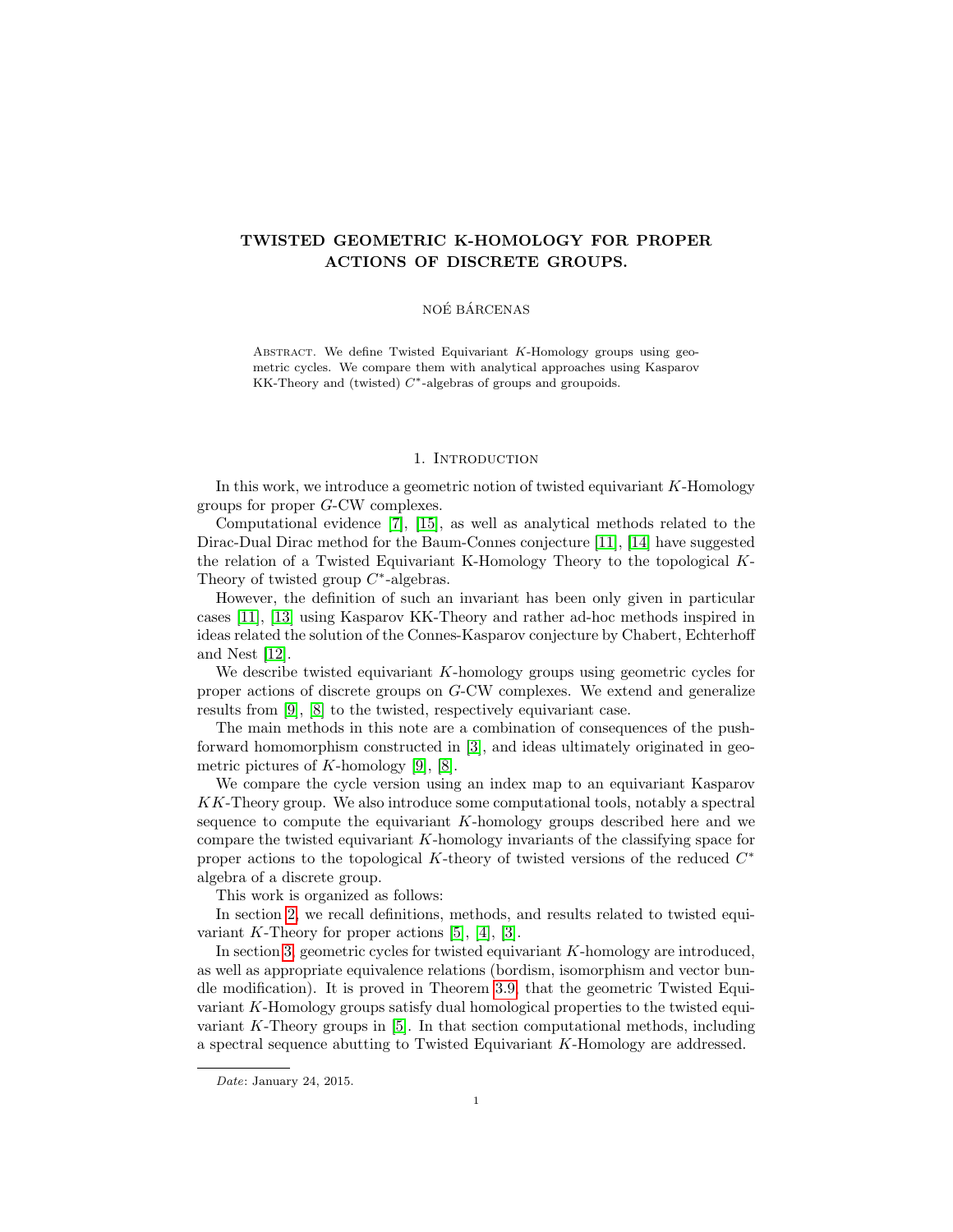# TWISTED GEOMETRIC K-HOMOLOGY FOR PROPER ACTIONS OF DISCRETE GROUPS.

# NOÉ BÁRCENAS

ABSTRACT. We define Twisted Equivariant K-Homology groups using geometric cycles. We compare them with analytical approaches using Kasparov KK-Theory and (twisted) C∗-algebras of groups and groupoids.

### 1. INTRODUCTION

<span id="page-0-0"></span>In this work, we introduce a geometric notion of twisted equivariant  $K$ -Homology groups for proper G-CW complexes.

Computational evidence [\[7\]](#page-17-0), [\[15\]](#page-17-1), as well as analytical methods related to the Dirac-Dual Dirac method for the Baum-Connes conjecture [\[11\]](#page-17-2), [\[14\]](#page-17-3) have suggested the relation of a Twisted Equivariant K-Homology Theory to the topological K-Theory of twisted group  $C^*$ -algebras.

However, the definition of such an invariant has been only given in particular cases [\[11\]](#page-17-2), [\[13\]](#page-17-4) using Kasparov KK-Theory and rather ad-hoc methods inspired in ideas related the solution of the Connes-Kasparov conjecture by Chabert, Echterhoff and Nest [\[12\]](#page-17-5).

We describe twisted equivariant  $K$ -homology groups using geometric cycles for proper actions of discrete groups on G-CW complexes. We extend and generalize results from [\[9\]](#page-17-6), [\[8\]](#page-17-7) to the twisted, respectively equivariant case.

The main methods in this note are a combination of consequences of the pushforward homomorphism constructed in [\[3\]](#page-16-0), and ideas ultimately originated in geometric pictures of  $K$ -homology [\[9\]](#page-17-6), [\[8\]](#page-17-7).

We compare the cycle version using an index map to an equivariant Kasparov KK-Theory group. We also introduce some computational tools, notably a spectral sequence to compute the equivariant K-homology groups described here and we compare the twisted equivariant K-homology invariants of the classifying space for proper actions to the topological K-theory of twisted versions of the reduced  $C^*$ algebra of a discrete group.

This work is organized as follows:

In section [2,](#page-1-0) we recall definitions, methods, and results related to twisted equivariant K-Theory for proper actions  $[5]$ ,  $[4]$ ,  $[3]$ .

In section [3,](#page-3-0) geometric cycles for twisted equivariant K-homology are introduced, as well as appropriate equivalence relations (bordism, isomorphism and vector bundle modification). It is proved in Theorem [3.9,](#page-7-0) that the geometric Twisted Equivariant K-Homology groups satisfy dual homological properties to the twisted equivariant K-Theory groups in [\[5\]](#page-17-8). In that section computational methods, including a spectral sequence abutting to Twisted Equivariant K-Homology are addressed.

Date: January 24, 2015.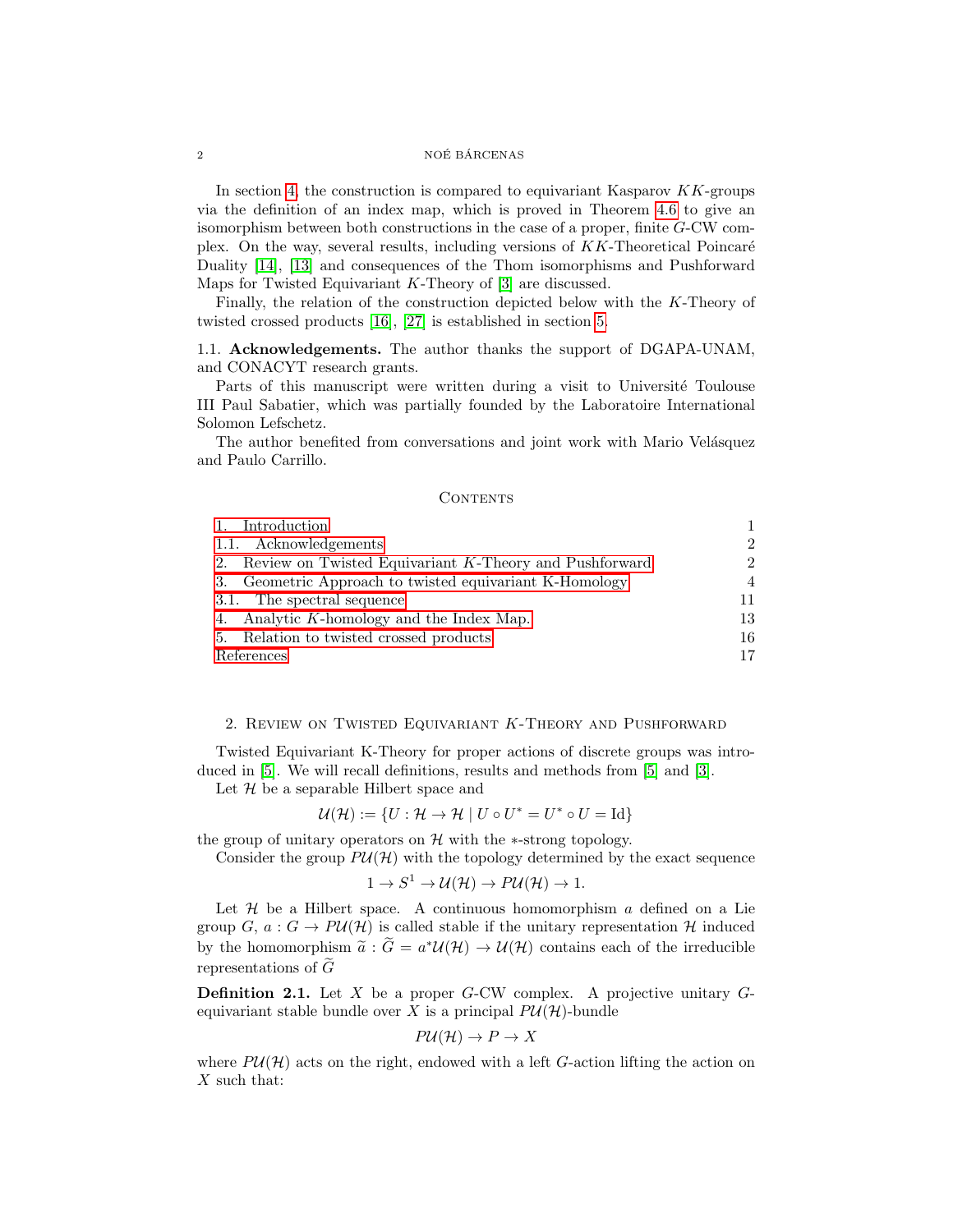### $\begin{array}{lll} \text{NOÉ BÁRCENAS} \end{array}$

In section [4,](#page-12-0) the construction is compared to equivariant Kasparov  $KK$ -groups via the definition of an index map, which is proved in Theorem [4.6](#page-14-0) to give an isomorphism between both constructions in the case of a proper, finite G-CW complex. On the way, several results, including versions of  $KK$ -Theoretical Poincaré Duality [\[14\]](#page-17-3), [\[13\]](#page-17-4) and consequences of the Thom isomorphisms and Pushforward Maps for Twisted Equivariant  $K$ -Theory of  $[3]$  are discussed.

Finally, the relation of the construction depicted below with the K-Theory of twisted crossed products [\[16\]](#page-17-10), [\[27\]](#page-17-11) is established in section [5.](#page-15-0)

# <span id="page-1-1"></span>1.1. Acknowledgements. The author thanks the support of DGAPA-UNAM, and CONACYT research grants.

Parts of this manuscript were written during a visit to Université Toulouse III Paul Sabatier, which was partially founded by the Laboratoire International Solomon Lefschetz.

The author benefited from conversations and joint work with Mario Velásquez and Paulo Carrillo.

## **CONTENTS**

| 1. Introduction                                           |                |
|-----------------------------------------------------------|----------------|
| 1.1. Acknowledgements                                     | $\overline{2}$ |
| 2. Review on Twisted Equivariant K-Theory and Pushforward | 2.             |
| 3. Geometric Approach to twisted equivariant K-Homology   | 4              |
| 3.1. The spectral sequence                                | 11             |
| 4. Analytic K-homology and the Index Map.                 | 13             |
| 5. Relation to twisted crossed products                   | 16             |
| References                                                |                |

# <span id="page-1-0"></span>2. Review on Twisted Equivariant K-Theory and Pushforward

Twisted Equivariant K-Theory for proper actions of discrete groups was introduced in [\[5\]](#page-17-8). We will recall definitions, results and methods from [\[5\]](#page-17-8) and [\[3\]](#page-16-0).

Let  $H$  be a separable Hilbert space and

$$
\mathcal{U}(\mathcal{H}) := \{ U : \mathcal{H} \to \mathcal{H} \mid U \circ U^* = U^* \circ U = \text{Id} \}
$$

the group of unitary operators on  $H$  with the  $*$ -strong topology.

Consider the group  $P\mathcal{U}(\mathcal{H})$  with the topology determined by the exact sequence

$$
1 \to S^1 \to \mathcal{U}(\mathcal{H}) \to P\mathcal{U}(\mathcal{H}) \to 1.
$$

Let  $H$  be a Hilbert space. A continuous homomorphism  $a$  defined on a Lie group G,  $a: G \to PU(\mathcal{H})$  is called stable if the unitary representation H induced by the homomorphism  $\tilde{a}$  :  $\tilde{G} = a^* \mathcal{U}(\mathcal{H}) \to \mathcal{U}(\mathcal{H})$  contains each of the irreducible representations of  $\tilde{G}$ 

**Definition 2.1.** Let  $X$  be a proper  $G$ -CW complex. A projective unitary  $G$ equivariant stable bundle over X is a principal  $P\mathcal{U}(\mathcal{H})$ -bundle

$$
P\mathcal{U}(\mathcal{H}) \to P \to X
$$

where  $P\mathcal{U}(\mathcal{H})$  acts on the right, endowed with a left G-action lifting the action on  $X$  such that: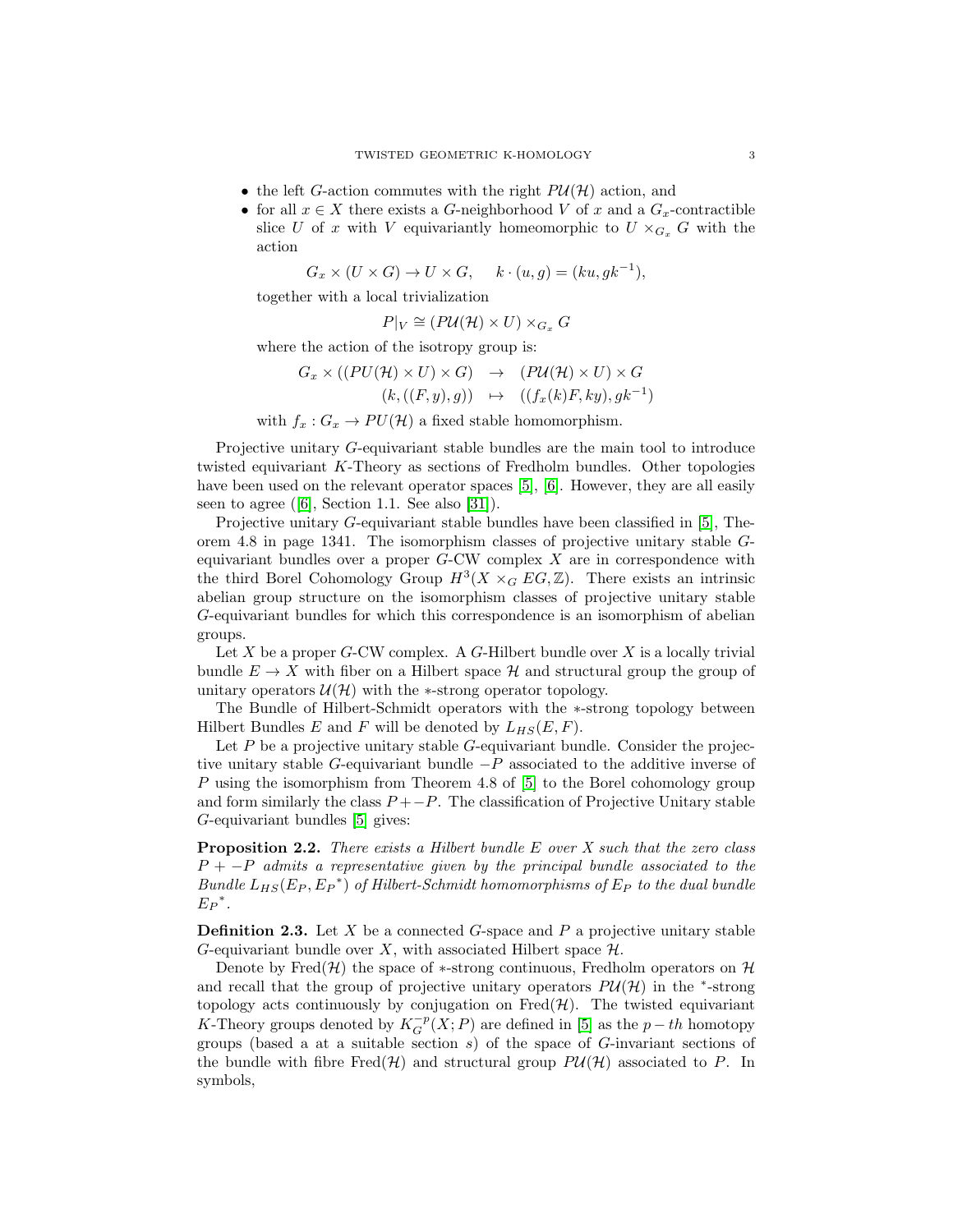- the left G-action commutes with the right  $P\mathcal{U}(\mathcal{H})$  action, and
- for all  $x \in X$  there exists a G-neighborhood V of x and a  $G_x$ -contractible slice U of x with V equivariantly homeomorphic to  $U \times_{G_x} G$  with the action

 $G_x \times (U \times G) \rightarrow U \times G$ ,  $k \cdot (u, g) = (ku, gk^{-1}),$ 

together with a local trivialization

 $P|_V \cong (P \mathcal{U}(\mathcal{H}) \times U) \times_{G_x} G$ 

where the action of the isotropy group is:

 $G_x \times ((PU(\mathcal{H}) \times U) \times G) \rightarrow (PU(\mathcal{H}) \times U) \times G$  $(k, ((F, y), g)) \rightarrow ((f_x(k)F, ky), gk^{-1})$ 

with  $f_x: G_x \to PU(\mathcal{H})$  a fixed stable homomorphism.

Projective unitary G-equivariant stable bundles are the main tool to introduce twisted equivariant K-Theory as sections of Fredholm bundles. Other topologies have been used on the relevant operator spaces [\[5\]](#page-17-8), [\[6\]](#page-17-12). However, they are all easily seen to agree([\[6\]](#page-17-12), Section 1.1. See also [\[31\]](#page-17-13)).

Projective unitary G-equivariant stable bundles have been classified in [\[5\]](#page-17-8), Theorem 4.8 in page 1341. The isomorphism classes of projective unitary stable Gequivariant bundles over a proper  $G-CW$  complex  $X$  are in correspondence with the third Borel Cohomology Group  $H^3(X\times_G EG,\mathbb{Z})$ . There exists an intrinsic abelian group structure on the isomorphism classes of projective unitary stable G-equivariant bundles for which this correspondence is an isomorphism of abelian groups.

Let  $X$  be a proper  $G$ -CW complex. A  $G$ -Hilbert bundle over  $X$  is a locally trivial bundle  $E \to X$  with fiber on a Hilbert space H and structural group the group of unitary operators  $\mathcal{U}(\mathcal{H})$  with the ∗-strong operator topology.

The Bundle of Hilbert-Schmidt operators with the ∗-strong topology between Hilbert Bundles E and F will be denoted by  $L_{HS}(E, F)$ .

Let  $P$  be a projective unitary stable  $G$ -equivariant bundle. Consider the projective unitary stable G-equivariant bundle  $-P$  associated to the additive inverse of P using the isomorphism from Theorem 4.8 of [\[5\]](#page-17-8) to the Borel cohomology group and form similarly the class  $P + -P$ . The classification of Projective Unitary stable G-equivariant bundles [\[5\]](#page-17-8) gives:

**Proposition 2.2.** There exists a Hilbert bundle  $E$  over  $X$  such that the zero class  $P + -P$  admits a representative given by the principal bundle associated to the Bundle  $L_{HS}(E_P, E_P^*)$  of Hilbert-Schmidt homomorphisms of  $E_P$  to the dual bundle  $E_P^*$ .

**Definition 2.3.** Let X be a connected G-space and P a projective unitary stable G-equivariant bundle over X, with associated Hilbert space  $\mathcal{H}$ .

Denote by Fred(H) the space of  $\ast$ -strong continuous, Fredholm operators on H and recall that the group of projective unitary operators  $P\mathcal{U}(\mathcal{H})$  in the <sup>\*</sup>-strong topology acts continuously by conjugation on  $Fred(\mathcal{H})$ . The twisted equivariant K-Theory groups denoted by  $K_G^{-p}(X;P)$  are defined in [\[5\]](#page-17-8) as the  $p-th$  homotopy groups (based a at a suitable section  $s$ ) of the space of  $G$ -invariant sections of the bundle with fibre Fred $(\mathcal{H})$  and structural group  $P\mathcal{U}(\mathcal{H})$  associated to P. In symbols,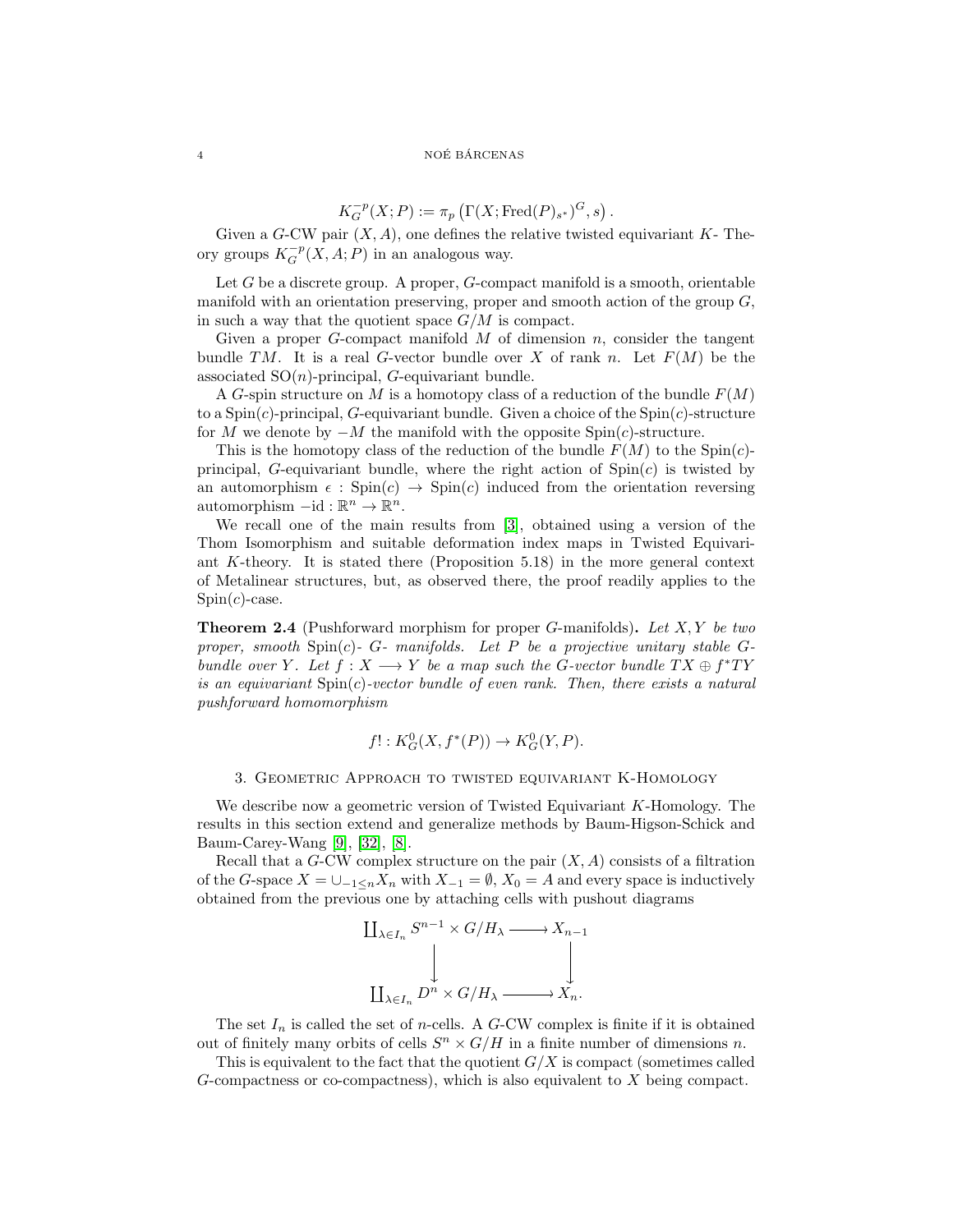$$
K_G^{-p}(X;P):=\pi_p\left(\Gamma(X;\text{Fred}(P)_{s^*})^G,s\right).
$$

Given a G-CW pair  $(X, A)$ , one defines the relative twisted equivariant K- Theory groups  $K_G^{-p}(X, A; P)$  in an analogous way.

Let  $G$  be a discrete group. A proper,  $G$ -compact manifold is a smooth, orientable manifold with an orientation preserving, proper and smooth action of the group  $G$ , in such a way that the quotient space  $G/M$  is compact.

Given a proper G-compact manifold M of dimension n, consider the tangent bundle TM. It is a real G-vector bundle over X of rank n. Let  $F(M)$  be the associated  $SO(n)$ -principal, G-equivariant bundle.

A G-spin structure on M is a homotopy class of a reduction of the bundle  $F(M)$ to a  $Spin(c)$ -principal, G-equivariant bundle. Given a choice of the  $Spin(c)$ -structure for M we denote by  $-M$  the manifold with the opposite  $Spin(c)$ -structure.

This is the homotopy class of the reduction of the bundle  $F(M)$  to the Spin(c)principal, G-equivariant bundle, where the right action of  $Spin(c)$  is twisted by an automorphism  $\epsilon$ : Spin(c)  $\rightarrow$  Spin(c) induced from the orientation reversing automorphism  $-\mathrm{id}: \mathbb{R}^n \to \mathbb{R}^n$ .

We recall one of the main results from [\[3\]](#page-16-0), obtained using a version of the Thom Isomorphism and suitable deformation index maps in Twisted Equivariant K-theory. It is stated there (Proposition 5.18) in the more general context of Metalinear structures, but, as observed there, the proof readily applies to the  $Spin(c)$ -case.

**Theorem 2.4** (Pushforward morphism for proper G-manifolds). Let  $X, Y$  be two proper, smooth  $Spin(c)$ - G- manifolds. Let P be a projective unitary stable Gbundle over Y. Let  $f: X \longrightarrow Y$  be a map such the G-vector bundle  $TX \oplus f^*TY$ is an equivariant  $Spin(c)$ -vector bundle of even rank. Then, there exists a natural pushforward homomorphism

$$
f! : K_G^0(X, f^*(P)) \to K_G^0(Y, P).
$$

## 3. Geometric Approach to twisted equivariant K-Homology

<span id="page-3-0"></span>We describe now a geometric version of Twisted Equivariant K-Homology. The results in this section extend and generalize methods by Baum-Higson-Schick and Baum-Carey-Wang [\[9\]](#page-17-6), [\[32\]](#page-18-0), [\[8\]](#page-17-7).

Recall that a  $G$ -CW complex structure on the pair  $(X, A)$  consists of a filtration of the G-space  $X = \bigcup_{-1 \leq n} X_n$  with  $X_{-1} = \emptyset$ ,  $X_0 = A$  and every space is inductively obtained from the previous one by attaching cells with pushout diagrams

$$
\coprod_{\lambda \in I_n} S^{n-1} \times G/H_{\lambda} \longrightarrow X_{n-1}
$$
  

$$
\downarrow \qquad \qquad \downarrow
$$
  

$$
\coprod_{\lambda \in I_n} D^n \times G/H_{\lambda} \longrightarrow X_n.
$$

The set  $I_n$  is called the set of *n*-cells. A  $G$ -CW complex is finite if it is obtained out of finitely many orbits of cells  $S<sup>n</sup> \times G/H$  in a finite number of dimensions n.

This is equivalent to the fact that the quotient  $G/X$  is compact (sometimes called G-compactness or co-compactness), which is also equivalent to X being compact.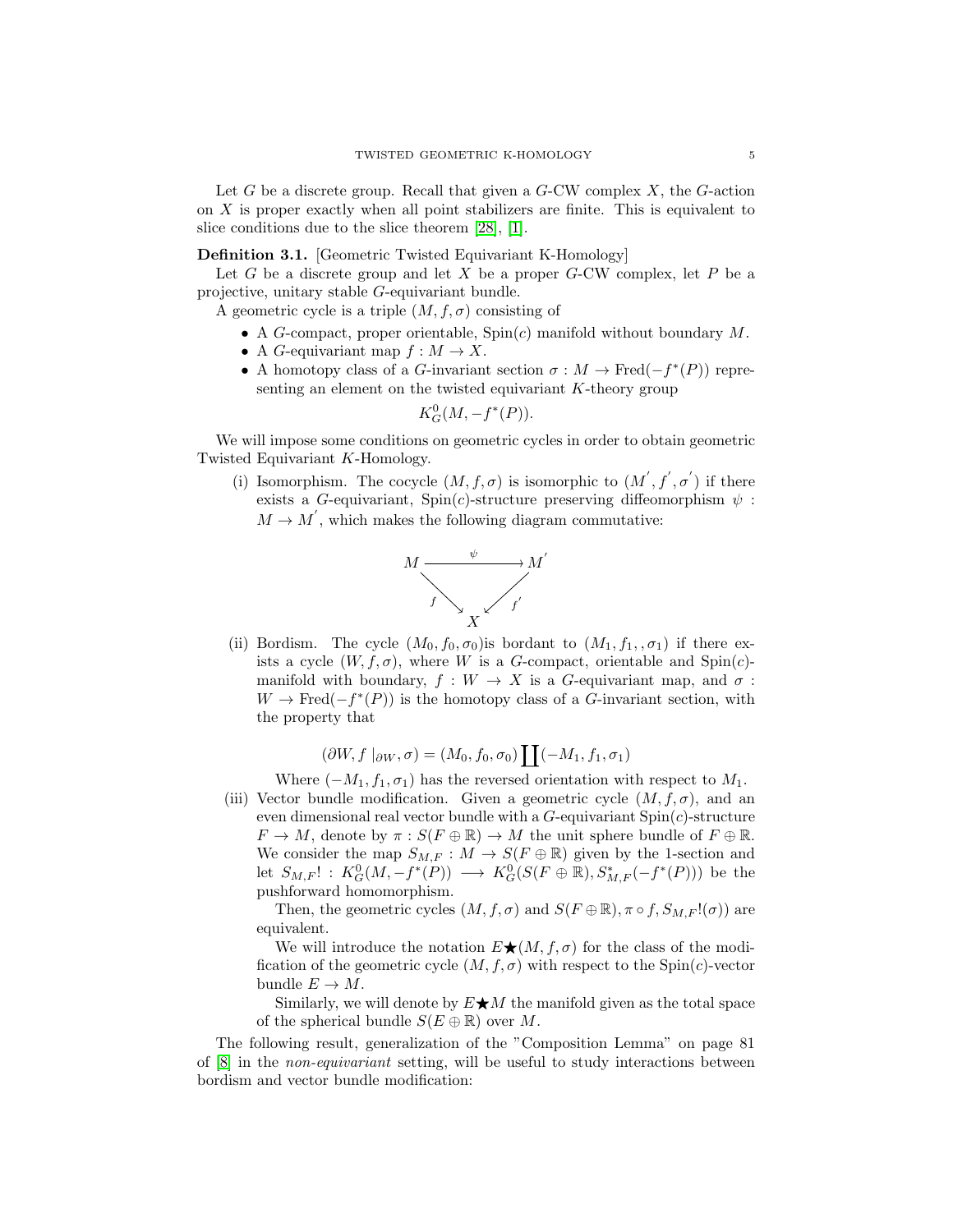Let G be a discrete group. Recall that given a  $G$ -CW complex X, the  $G$ -action on  $X$  is proper exactly when all point stabilizers are finite. This is equivalent to slice conditions due to the slice theorem [\[28\]](#page-17-14), [\[1\]](#page-16-2).

<span id="page-4-0"></span>Definition 3.1. [Geometric Twisted Equivariant K-Homology]

Let  $G$  be a discrete group and let  $X$  be a proper  $G$ -CW complex, let  $P$  be a projective, unitary stable G-equivariant bundle.

A geometric cycle is a triple  $(M, f, \sigma)$  consisting of

- A G-compact, proper orientable,  $Spin(c)$  manifold without boundary M.
- A *G*-equivariant map  $f : M \to X$ .
- A homotopy class of a G-invariant section  $\sigma : M \to \text{Fred}(-f^*(P))$  representing an element on the twisted equivariant K-theory group

$$
K_G^0(M,-f^*(P)).
$$

We will impose some conditions on geometric cycles in order to obtain geometric Twisted Equivariant K-Homology.

(i) Isomorphism. The cocycle  $(M, f, \sigma)$  is isomorphic to  $(M', f', \sigma')$  if there exists a G-equivariant,  $Spin(c)$ -structure preserving diffeomorphism  $\psi$ :  $M \to M'$ , which makes the following diagram commutative:



(ii) Bordism. The cycle  $(M_0, f_0, \sigma_0)$  is bordant to  $(M_1, f_1, \sigma_1)$  if there exists a cycle  $(W, f, \sigma)$ , where W is a G-compact, orientable and Spin(c)manifold with boundary,  $f: W \to X$  is a G-equivariant map, and  $\sigma$ :  $W \to \text{Fred}(-f^*(P))$  is the homotopy class of a G-invariant section, with the property that

$$
(\partial W, f |_{\partial W}, \sigma) = (M_0, f_0, \sigma_0) \coprod (-M_1, f_1, \sigma_1)
$$

Where  $(-M_1, f_1, \sigma_1)$  has the reversed orientation with respect to  $M_1$ .

(iii) Vector bundle modification. Given a geometric cycle  $(M, f, \sigma)$ , and an even dimensional real vector bundle with a  $G$ -equivariant  $Spin(c)$ -structure  $F \to M$ , denote by  $\pi : S(F \oplus \mathbb{R}) \to M$  the unit sphere bundle of  $F \oplus \mathbb{R}$ . We consider the map  $S_{M,F}: M \to S(F \oplus \mathbb{R})$  given by the 1-section and let  $S_{M,F}$ ! :  $K_G^0(M, -f^*(P)) \longrightarrow K_G^0(S(F \oplus \mathbb{R}), S_{M,F}^*(-f^*(P)))$  be the pushforward homomorphism.

Then, the geometric cycles  $(M, f, \sigma)$  and  $S(F \oplus \mathbb{R}), \pi \circ f, S_{M,F}!(\sigma))$  are equivalent.

We will introduce the notation  $E\bigstar(M, f, \sigma)$  for the class of the modification of the geometric cycle  $(M, f, \sigma)$  with respect to the Spin(c)-vector bundle  $E \to M$ .

Similarly, we will denote by  $E\bigstar M$  the manifold given as the total space of the spherical bundle  $S(E \oplus \mathbb{R})$  over M.

The following result, generalization of the "Composition Lemma" on page 81 of [\[8\]](#page-17-7) in the non-equivariant setting, will be useful to study interactions between bordism and vector bundle modification: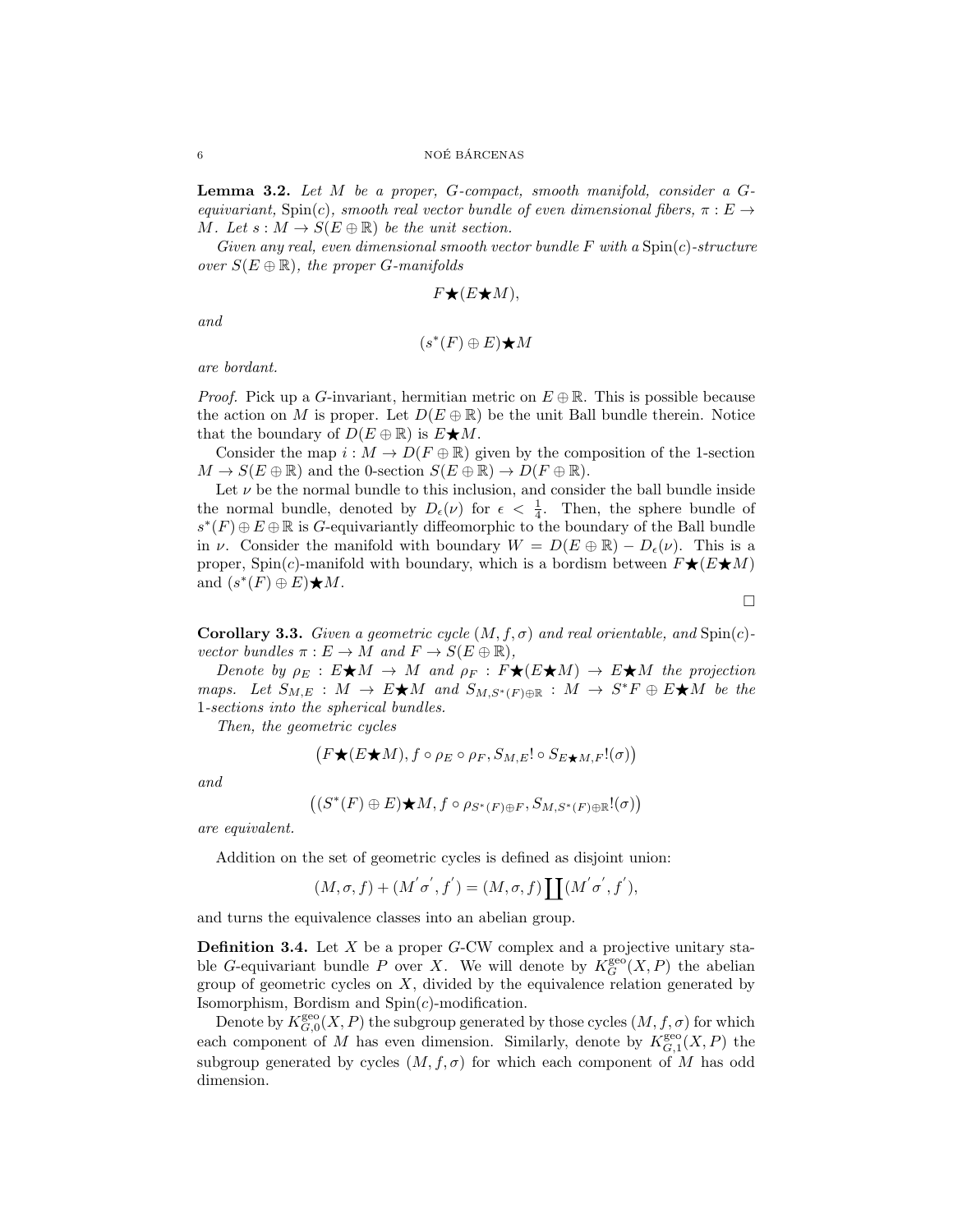<span id="page-5-0"></span>Lemma 3.2. Let M be a proper, G-compact, smooth manifold, consider a Gequivariant,  $\text{Spin}(c)$ , smooth real vector bundle of even dimensional fibers,  $\pi : E \rightarrow$ M. Let  $s : M \to S(E \oplus \mathbb{R})$  be the unit section.

Given any real, even dimensional smooth vector bundle  $F$  with a  $Spin(c)$ -structure over  $S(E \oplus \mathbb{R})$ , the proper G-manifolds

$$
F\bigstar(E\bigstar M),
$$

and

 $(s^*(F) \oplus E) \bigstar M$ 

are bordant.

*Proof.* Pick up a G-invariant, hermitian metric on  $E \oplus \mathbb{R}$ . This is possible because the action on M is proper. Let  $D(E \oplus \mathbb{R})$  be the unit Ball bundle therein. Notice that the boundary of  $D(E \oplus \mathbb{R})$  is  $E \bigstar M$ .

Consider the map  $i : M \to D(F \oplus \mathbb{R})$  given by the composition of the 1-section  $M \to S(E \oplus \mathbb{R})$  and the 0-section  $S(E \oplus \mathbb{R}) \to D(F \oplus \mathbb{R})$ .

Let  $\nu$  be the normal bundle to this inclusion, and consider the ball bundle inside the normal bundle, denoted by  $D_{\epsilon}(\nu)$  for  $\epsilon < \frac{1}{4}$ . Then, the sphere bundle of  $s^*(F) ⊕ E ⊕ \mathbb{R}$  is G-equivariantly diffeomorphic to the boundary of the Ball bundle in  $\nu$ . Consider the manifold with boundary  $W = D(E \oplus \mathbb{R}) - D_{\epsilon}(\nu)$ . This is a proper, Spin(c)-manifold with boundary, which is a bordism between  $F\bigstar(E\bigstar M)$ and  $(s^*(F) \oplus E) \bigstar M$ .

 $\Box$ 

**Corollary 3.3.** Given a geometric cycle  $(M, f, \sigma)$  and real orientable, and Spin(c)vector bundles  $\pi : E \to M$  and  $F \to S(E \oplus \mathbb{R}),$ 

Denote by  $\rho_E : E \bigstar M \to M$  and  $\rho_F : F \bigstar (E \bigstar M) \to E \bigstar M$  the projection maps. Let  $S_{M,E}: M \to E\bigstar M$  and  $S_{M,S^*(F)\oplus \mathbb{R}}: M \to S^*F \oplus E\bigstar M$  be the 1-sections into the spherical bundles.

Then, the geometric cycles

$$
(F\bigstar (E\bigstar M), f\circ \rho_E\circ \rho_F, S_{M,E}!\circ S_{E\bigstar M,F}!(\sigma))
$$

and

$$
((S^*(F)\oplus E)\bigstar M, f\circ \rho_{S^*(F)\oplus F}, S_{M,S^*(F)\oplus \mathbb R}!(\sigma))
$$

are equivalent.

Addition on the set of geometric cycles is defined as disjoint union:

$$
(M, \sigma, f) + (M^{'}\sigma^{'}, f^{'}) = (M, \sigma, f) \coprod (M^{'}\sigma^{'}, f^{'}),
$$

and turns the equivalence classes into an abelian group.

**Definition 3.4.** Let  $X$  be a proper  $G$ -CW complex and a projective unitary stable G-equivariant bundle P over X. We will denote by  $K_G^{\text{geo}}(X, P)$  the abelian group of geometric cycles on  $X$ , divided by the equivalence relation generated by Isomorphism, Bordism and  $Spin(c)$ -modification.

Denote by  $K_{G,0}^{\text{geo}}(X,P)$  the subgroup generated by those cycles  $(M, f, \sigma)$  for which each component of M has even dimension. Similarly, denote by  $K_{G,1}^{\text{geo}}(X,P)$  the subgroup generated by cycles  $(M, f, \sigma)$  for which each component of M has odd dimension.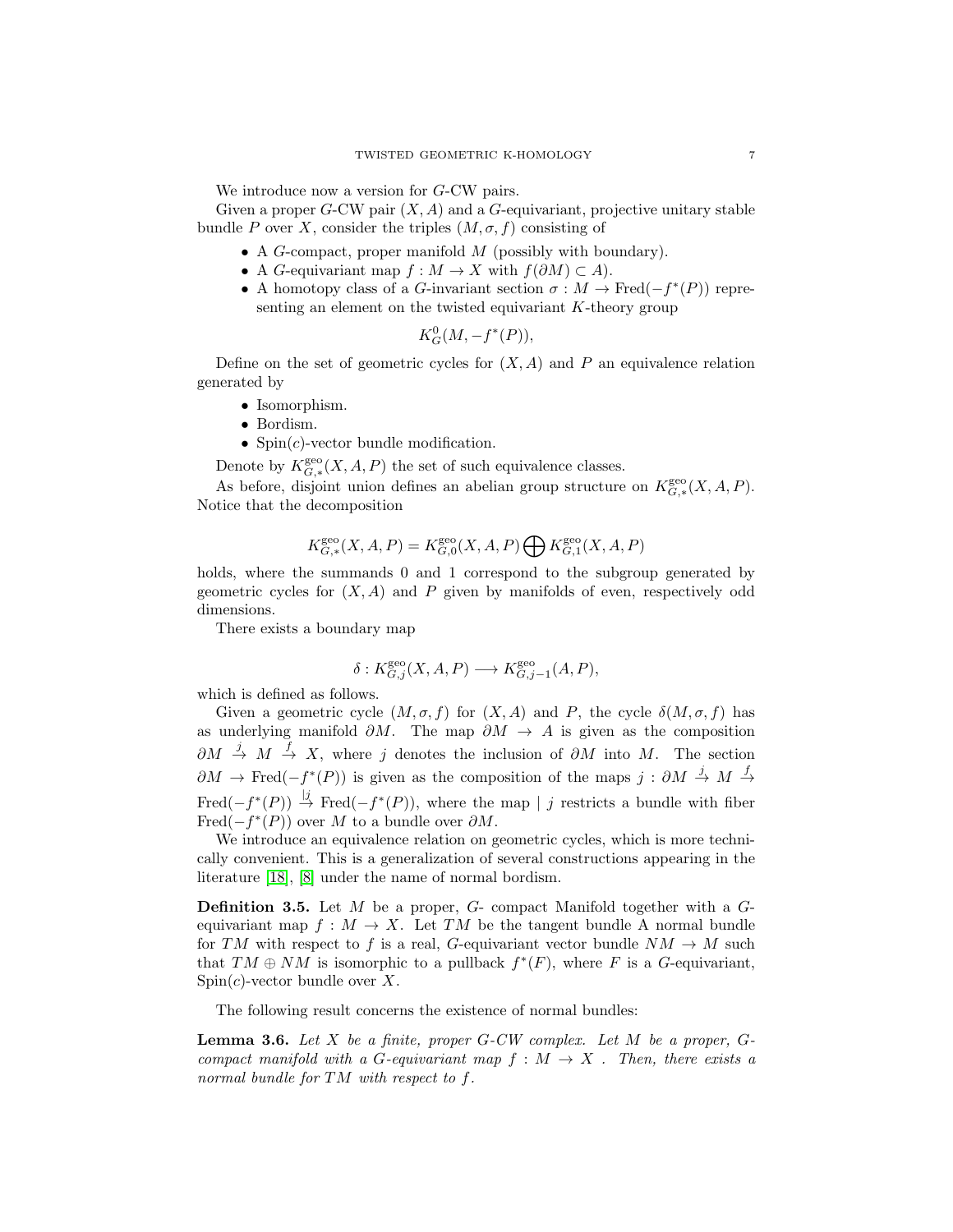We introduce now a version for G-CW pairs.

Given a proper  $G$ -CW pair  $(X, A)$  and a  $G$ -equivariant, projective unitary stable bundle P over X, consider the triples  $(M, \sigma, f)$  consisting of

- $\bullet$  A G-compact, proper manifold  $M$  (possibly with boundary).
- A G-equivariant map  $f : M \to X$  with  $f(\partial M) \subset A$ ).
- A homotopy class of a G-invariant section  $\sigma : M \to \text{Fred}(-f^*(P))$  representing an element on the twisted equivariant  $K$ -theory group

$$
K_G^0(M, -f^*(P)),
$$

Define on the set of geometric cycles for  $(X, A)$  and P an equivalence relation generated by

- Isomorphism.
- Bordism.
- Spin $(c)$ -vector bundle modification.

Denote by  $K_{G,*}^{\text{geo}}(X, A, P)$  the set of such equivalence classes.

As before, disjoint union defines an abelian group structure on  $K_{G,*}^{\text{geo}}(X, A, P)$ . Notice that the decomposition

$$
K_{G,*}^{\text{geo}}(X, A, P) = K_{G,0}^{\text{geo}}(X, A, P) \bigoplus K_{G,1}^{\text{geo}}(X, A, P)
$$

holds, where the summands 0 and 1 correspond to the subgroup generated by geometric cycles for  $(X, A)$  and P given by manifolds of even, respectively odd dimensions.

There exists a boundary map

$$
\delta: K_{G,j}^{\text{geo}}(X, A, P) \longrightarrow K_{G,j-1}^{\text{geo}}(A, P),
$$

which is defined as follows.

Given a geometric cycle  $(M, \sigma, f)$  for  $(X, A)$  and P, the cycle  $\delta(M, \sigma, f)$  has as underlying manifold  $\partial M$ . The map  $\partial M \to A$  is given as the composition  $\partial M \stackrel{j}{\rightarrow} M \stackrel{f}{\rightarrow} X$ , where j denotes the inclusion of  $\partial M$  into M. The section  $\partial M \to \text{Fred}(-f^*(P))$  is given as the composition of the maps  $j : \partial M \stackrel{j}{\to} M \stackrel{f}{\to}$ Fred( $-f^*(P)$ )  $\stackrel{|j|}{\rightarrow}$  Fred( $-f^*(P)$ ), where the map | j restricts a bundle with fiber Fred( $-f^*(P)$ ) over M to a bundle over  $\partial M$ .

We introduce an equivalence relation on geometric cycles, which is more technically convenient. This is a generalization of several constructions appearing in the literature [\[18\]](#page-17-15), [\[8\]](#page-17-7) under the name of normal bordism.

**Definition 3.5.** Let  $M$  be a proper,  $G$ - compact Manifold together with a  $G$ equivariant map  $f : M \to X$ . Let TM be the tangent bundle A normal bundle for TM with respect to f is a real, G-equivariant vector bundle  $NM \to M$  such that  $TM \oplus NM$  is isomorphic to a pullback  $f^*(F)$ , where F is a G-equivariant,  $Spin(c)$ -vector bundle over X.

The following result concerns the existence of normal bundles:

**Lemma 3.6.** Let X be a finite, proper  $G$ -CW complex. Let M be a proper,  $G$ compact manifold with a G-equivariant map  $f : M \to X$ . Then, there exists a normal bundle for TM with respect to f.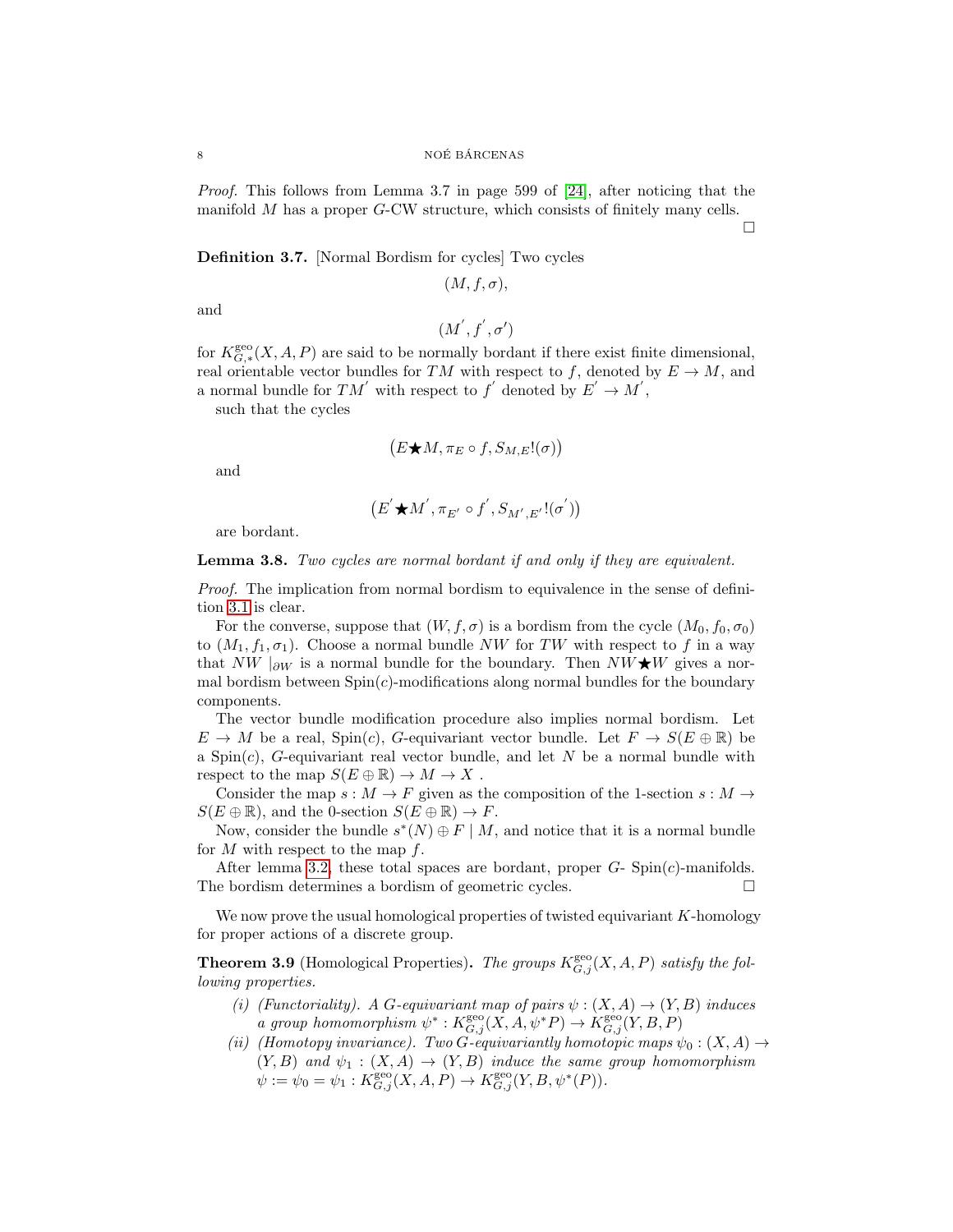Proof. This follows from Lemma 3.7 in page 599 of [\[24\]](#page-17-16), after noticing that the manifold M has a proper G-CW structure, which consists of finitely many cells.

 $\Box$ 

Definition 3.7. [Normal Bordism for cycles] Two cycles

 $(M, f, \sigma),$ 

and

$$
(M^{'},f^{'},\sigma^{\prime})
$$

for  $K_{G,*}^{\text{geo}}(X, A, P)$  are said to be normally bordant if there exist finite dimensional, real orientable vector bundles for TM with respect to f, denoted by  $E \to M$ , and a normal bundle for  $TM'$  with respect to  $f'$  denoted by  $E' \to M'$ ,

such that the cycles

$$
(E \bigstar M, \pi_E \circ f, S_{M,E}!(\sigma))
$$

and

$$
\big(E^{'}{\bigstar}M^{'},\pi_{E^{'}}\circ f^{'},S_{M^{'},E^{'}}!(\sigma^{'})\big)
$$

are bordant.

### **Lemma 3.8.** Two cycles are normal bordant if and only if they are equivalent.

Proof. The implication from normal bordism to equivalence in the sense of definition [3.1](#page-4-0) is clear.

For the converse, suppose that  $(W, f, \sigma)$  is a bordism from the cycle  $(M_0, f_0, \sigma_0)$ to  $(M_1, f_1, \sigma_1)$ . Choose a normal bundle NW for TW with respect to f in a way that NW  $|_{\partial W}$  is a normal bundle for the boundary. Then NW $\star$ W gives a normal bordism between  $Spin(c)$ -modifications along normal bundles for the boundary components.

The vector bundle modification procedure also implies normal bordism. Let  $E \to M$  be a real,  $Spin(c)$ , G-equivariant vector bundle. Let  $F \to S(E \oplus \mathbb{R})$  be a Spin $(c)$ , G-equivariant real vector bundle, and let N be a normal bundle with respect to the map  $S(E \oplus \mathbb{R}) \to M \to X$ .

Consider the map  $s : M \to F$  given as the composition of the 1-section  $s : M \to F$  $S(E \oplus \mathbb{R})$ , and the 0-section  $S(E \oplus \mathbb{R}) \to F$ .

Now, consider the bundle  $s^*(N) \oplus F \mid M$ , and notice that it is a normal bundle for  $M$  with respect to the map  $f$ .

After lemma [3.2,](#page-5-0) these total spaces are bordant, proper  $G$ - Spin $(c)$ -manifolds. The bordism determines a bordism of geometric cycles.

We now prove the usual homological properties of twisted equivariant  $K$ -homology for proper actions of a discrete group.

<span id="page-7-0"></span>**Theorem 3.9** (Homological Properties). The groups  $K_{G,j}^{\text{geo}}(X, A, P)$  satisfy the following properties.

- (i) (Functoriality). A G-equivariant map of pairs  $\psi : (X, A) \to (Y, B)$  induces a group homomorphism  $\psi^*: K_{G,j}^{\text{geo}}(X, A, \psi^*P) \to K_{G,j}^{\text{geo}}(Y, B, P)$
- (ii) (Homotopy invariance). Two G-equivariantly homotopic maps  $\psi_0: (X, A) \to$  $(Y, B)$  and  $\psi_1 : (X, A) \to (Y, B)$  induce the same group homomorphism  $\psi := \psi_0 = \psi_1 : K_{G,j}^{\text{geo}}(X, A, P) \to K_{G,j}^{\text{geo}}(Y, B, \psi^*(P)).$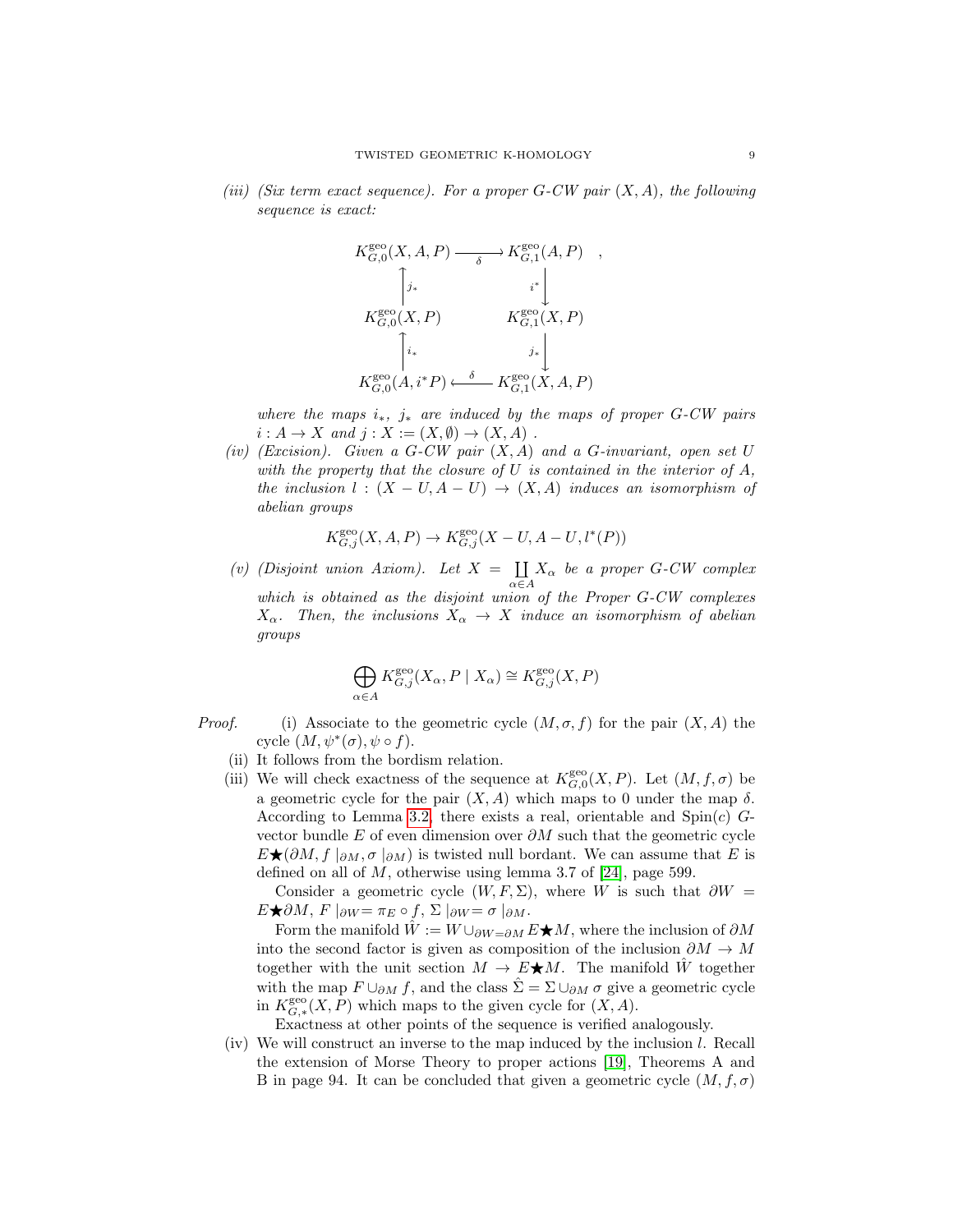(iii) (Six term exact sequence). For a proper  $G$ -CW pair  $(X, A)$ , the following sequence is exact:



where the maps  $i_*$ ,  $j_*$  are induced by the maps of proper G-CW pairs  $i: A \to X$  and  $j: X := (X, \emptyset) \to (X, A)$ .

(iv) (Excision). Given a  $G$ -CW pair  $(X, A)$  and a  $G$ -invariant, open set  $U$ with the property that the closure of  $U$  is contained in the interior of  $A$ , the inclusion  $l : (X - U, A - U) \rightarrow (X, A)$  induces an isomorphism of abelian groups

$$
K_{G,j}^{\text{geo}}(X, A, P) \to K_{G,j}^{\text{geo}}(X - U, A - U, l^*(P))
$$

(v) (Disjoint union Axiom). Let  $X = \prod$  $\coprod_{\alpha \in A} X_{\alpha}$  be a proper G-CW complex which is obtained as the disjoint union of the Proper G-CW complexes  $X_{\alpha}$ . Then, the inclusions  $X_{\alpha} \to X$  induce an isomorphism of abelian groups

$$
\bigoplus_{\alpha \in A} K_{G,j}^{\text{geo}}(X_{\alpha}, P \mid X_{\alpha}) \cong K_{G,j}^{\text{geo}}(X, P)
$$

- *Proof.* (i) Associate to the geometric cycle  $(M, \sigma, f)$  for the pair  $(X, A)$  the cycle  $(M, \psi^*(\sigma), \psi \circ f)$ .
	- (ii) It follows from the bordism relation.
	- (iii) We will check exactness of the sequence at  $K_{G,0}^{\text{geo}}(X,P)$ . Let  $(M, f, \sigma)$  be a geometric cycle for the pair  $(X, A)$  which maps to 0 under the map  $\delta$ . According to Lemma [3.2,](#page-5-0) there exists a real, orientable and  $Spin(c)$  Gvector bundle E of even dimension over  $\partial M$  such that the geometric cycle  $E\bigstar(\partial M, f\mid_{\partial M}, \sigma\mid_{\partial M})$  is twisted null bordant. We can assume that E is defined on all of  $M$ , otherwise using lemma 3.7 of [\[24\]](#page-17-16), page 599.

Consider a geometric cycle  $(W, F, \Sigma)$ , where W is such that  $\partial W =$  $E\bigstar \partial M$ ,  $F\vert_{\partial W} = \pi_E \circ f$ ,  $\Sigma\vert_{\partial W} = \sigma\vert_{\partial M}$ .

Form the manifold  $\hat{W} := W \cup_{\partial W = \partial M} E^{\bigstar} M$ , where the inclusion of  $\partial M$ into the second factor is given as composition of the inclusion  $\partial M \to M$ together with the unit section  $M \to E\bigstar M$ . The manifold W together with the map  $F \cup_{\partial M} f$ , and the class  $\hat{\Sigma} = \Sigma \cup_{\partial M} \sigma$  give a geometric cycle in  $K_{G,*}^{\text{geo}}(X,P)$  which maps to the given cycle for  $(X,A)$ .

Exactness at other points of the sequence is verified analogously.

(iv) We will construct an inverse to the map induced by the inclusion l. Recall the extension of Morse Theory to proper actions [\[19\]](#page-17-17), Theorems A and B in page 94. It can be concluded that given a geometric cycle  $(M, f, \sigma)$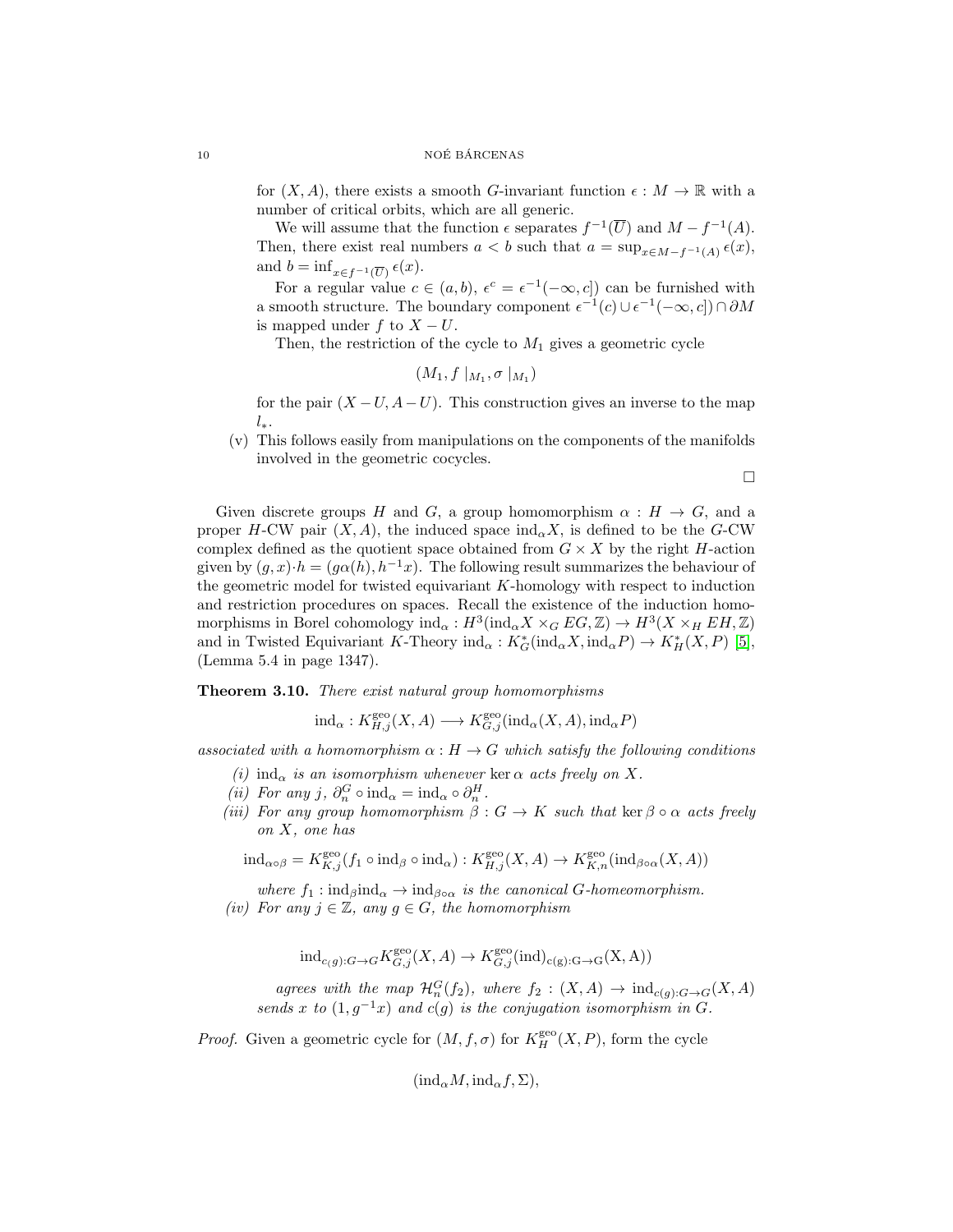for  $(X, A)$ , there exists a smooth G-invariant function  $\epsilon : M \to \mathbb{R}$  with a number of critical orbits, which are all generic.

We will assume that the function  $\epsilon$  separates  $f^{-1}(\overline{U})$  and  $M - f^{-1}(A)$ . Then, there exist real numbers  $a < b$  such that  $a = \sup_{x \in M - f^{-1}(A)} \epsilon(x)$ , and  $b = \inf_{x \in f^{-1}(\overline{U})} \epsilon(x)$ .

For a regular value  $c \in (a, b)$ ,  $\epsilon^c = \epsilon^{-1}(-\infty, c]$  can be furnished with a smooth structure. The boundary component  $\epsilon^{-1}(c) \cup \epsilon^{-1}(-\infty, c]) \cap \partial M$ is mapped under f to  $X - U$ .

Then, the restriction of the cycle to  $M_1$  gives a geometric cycle

 $(M_1, f |_{M_1}, \sigma |_{M_1})$ 

for the pair  $(X-U, A-U)$ . This construction gives an inverse to the map  $l_{\ast}$ .

(v) This follows easily from manipulations on the components of the manifolds involved in the geometric cocycles.

 $\Box$ 

Given discrete groups H and G, a group homomorphism  $\alpha : H \to G$ , and a proper H-CW pair  $(X, A)$ , the induced space  $\text{ind}_{\alpha} X$ , is defined to be the G-CW complex defined as the quotient space obtained from  $G \times X$  by the right H-action given by  $(g, x) \cdot h = (g\alpha(h), h^{-1}x)$ . The following result summarizes the behaviour of the geometric model for twisted equivariant K-homology with respect to induction and restriction procedures on spaces. Recall the existence of the induction homomorphisms in Borel cohomology  $\text{ind}_{\alpha}: H^3(\text{ind}_{\alpha}X \times_G EG, \mathbb{Z}) \to H^3(X \times_H EH, \mathbb{Z})$ and in Twisted Equivariant K-Theory  $\text{ind}_{\alpha}: K^*_{G}(\text{ind}_{\alpha}X, \text{ind}_{\alpha}P) \to K^*_{H}(X, P)$  [\[5\]](#page-17-8), (Lemma 5.4 in page 1347).

<span id="page-9-0"></span>Theorem 3.10. There exist natural group homomorphisms

$$
ind_{\alpha}: K^{\text{geo}}_{H,j}(X, A) \longrightarrow K^{\text{geo}}_{G,j}(ind_{\alpha}(X, A), ind_{\alpha}P)
$$

associated with a homomorphism  $\alpha : H \to G$  which satisfy the following conditions

- (i) ind<sub> $\alpha$ </sub> is an isomorphism whenever ker  $\alpha$  acts freely on X.
- (*ii*) For any j,  $\partial_n^G \circ \text{ind}_{\alpha} = \text{ind}_{\alpha} \circ \partial_n^H$ .
- (iii) For any group homomorphism  $\beta: G \to K$  such that ker  $\beta \circ \alpha$  acts freely on X, one has

$$
\mathrm{ind}_{\alpha\circ\beta}=K_{K,j}^{\mathrm{geo}}(f_1\circ\mathrm{ind}_{\beta}\circ\mathrm{ind}_{\alpha}):K_{H,j}^{\mathrm{geo}}(X,A)\to K_{K,n}^{\mathrm{geo}}(\mathrm{ind}_{\beta\circ\alpha}(X,A))
$$

where  $f_1: \text{ind}_{\beta} \text{ind}_{\alpha} \to \text{ind}_{\beta \circ \alpha}$  is the canonical G-homeomorphism. (iv) For any  $j \in \mathbb{Z}$ , any  $g \in G$ , the homomorphism

$$
\mathrm{ind}_{c(g):G\to G}K_{G,j}^{\mathrm{geo}}(X,A)\to K_{G,j}^{\mathrm{geo}}(\mathrm{ind})_{c(g):G\to G}(X,A))
$$

agrees with the map  $\mathcal{H}_n^G(f_2)$ , where  $f_2 : (X, A) \to \text{ind}_{c(g):G \to G}(X, A)$ sends x to  $(1, g^{-1}x)$  and  $c(g)$  is the conjugation isomorphism in G.

*Proof.* Given a geometric cycle for  $(M, f, \sigma)$  for  $K_H^{\text{geo}}(X, P)$ , form the cycle

 $(\text{ind}_{\alpha}M, \text{ind}_{\alpha}f, \Sigma),$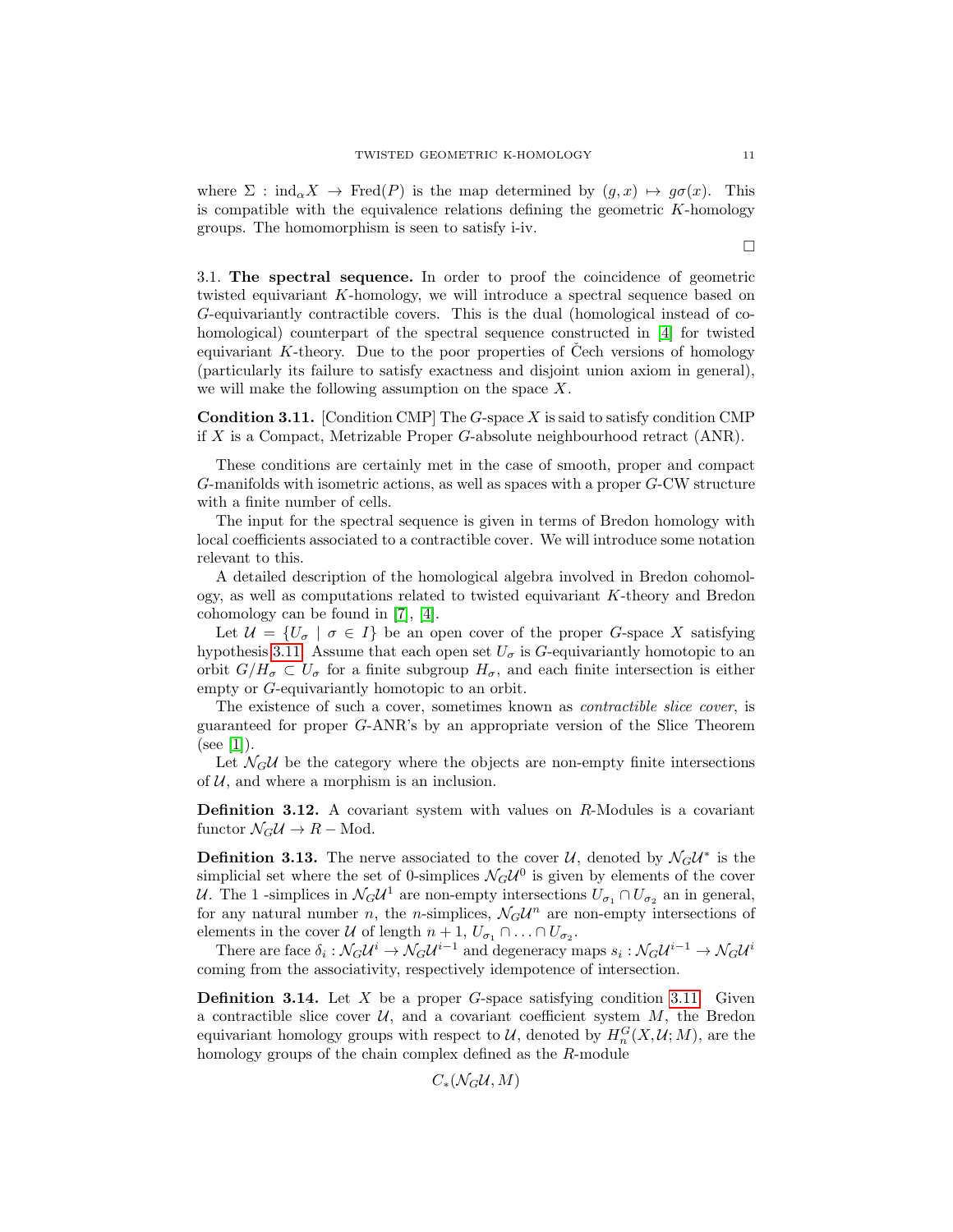where  $\Sigma : \text{ind}_{\alpha} X \to \text{Fred}(P)$  is the map determined by  $(g, x) \mapsto g\sigma(x)$ . This is compatible with the equivalence relations defining the geometric  $K$ -homology groups. The homomorphism is seen to satisfy i-iv.

<span id="page-10-0"></span>3.1. The spectral sequence. In order to proof the coincidence of geometric twisted equivariant K-homology, we will introduce a spectral sequence based on G-equivariantly contractible covers. This is the dual (homological instead of cohomological) counterpart of the spectral sequence constructed in [\[4\]](#page-17-9) for twisted equivariant K-theory. Due to the poor properties of Cech versions of homology (particularly its failure to satisfy exactness and disjoint union axiom in general), we will make the following assumption on the space X.

<span id="page-10-1"></span>**Condition 3.11.** [Condition CMP] The  $G$ -space X is said to satisfy condition CMP if X is a Compact, Metrizable Proper  $G$ -absolute neighbourhood retract  $(ANR)$ .

These conditions are certainly met in the case of smooth, proper and compact G-manifolds with isometric actions, as well as spaces with a proper G-CW structure with a finite number of cells.

The input for the spectral sequence is given in terms of Bredon homology with local coefficients associated to a contractible cover. We will introduce some notation relevant to this.

A detailed description of the homological algebra involved in Bredon cohomology, as well as computations related to twisted equivariant K-theory and Bredon cohomology can be found in [\[7\]](#page-17-0), [\[4\]](#page-17-9).

Let  $\mathcal{U} = \{U_{\sigma} \mid \sigma \in I\}$  be an open cover of the proper G-space X satisfying hypothesis [3.11.](#page-10-1) Assume that each open set  $U_{\sigma}$  is G-equivariantly homotopic to an orbit  $G/H_{\sigma} \subset U_{\sigma}$  for a finite subgroup  $H_{\sigma}$ , and each finite intersection is either empty or G-equivariantly homotopic to an orbit.

The existence of such a cover, sometimes known as contractible slice cover, is guaranteed for proper G-ANR's by an appropriate version of the Slice Theorem  $(see [1]).$  $(see [1]).$  $(see [1]).$ 

Let  $\mathcal{N}_G U$  be the category where the objects are non-empty finite intersections of  $U$ , and where a morphism is an inclusion.

**Definition 3.12.** A covariant system with values on  $R$ -Modules is a covariant functor  $\mathcal{N}_G \mathcal{U} \to R$  – Mod.

**Definition 3.13.** The nerve associated to the cover  $\mathcal{U}$ , denoted by  $\mathcal{N}_G \mathcal{U}^*$  is the simplicial set where the set of 0-simplices  $\mathcal{N}_G \mathcal{U}^0$  is given by elements of the cover U. The 1 -simplices in  $\mathcal{N}_G U^1$  are non-empty intersections  $U_{\sigma_1} \cap U_{\sigma_2}$  an in general, for any natural number *n*, the *n*-simplices,  $\mathcal{N}_G \mathcal{U}^n$  are non-empty intersections of elements in the cover  $\mathcal U$  of length  $n+1, U_{\sigma_1} \cap \ldots \cap U_{\sigma_2}$ .

There are face  $\delta_i: \mathcal{N}_G \mathcal{U}^i \to \mathcal{N}_G \mathcal{U}^{i-1}$  and degeneracy maps  $s_i: \mathcal{N}_G \mathcal{U}^{i-1} \to \mathcal{N}_G \mathcal{U}^i$ coming from the associativity, respectively idempotence of intersection.

**Definition 3.14.** Let  $X$  be a proper  $G$ -space satisfying condition [3.11.](#page-10-1) Given a contractible slice cover  $U$ , and a covariant coefficient system  $M$ , the Bredon equivariant homology groups with respect to  $\mathcal{U}$ , denoted by  $H_n^G(X, \mathcal{U}; M)$ , are the homology groups of the chain complex defined as the R-module

 $C_*(\mathcal{N} \in \mathcal{U}, M)$ 

 $\Box$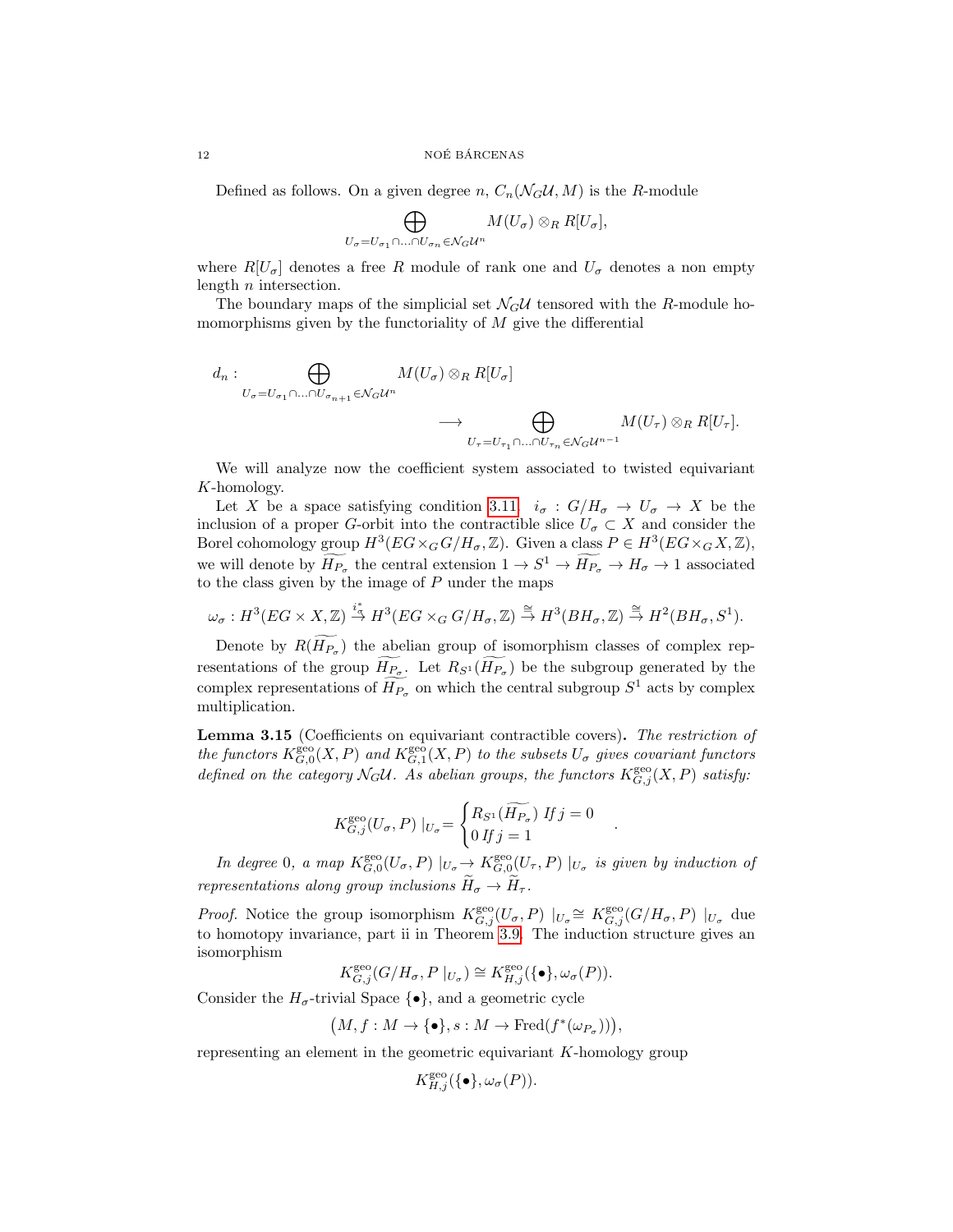Defined as follows. On a given degree n,  $C_n(\mathcal{N}_G\mathcal{U}, M)$  is the R-module

$$
\bigoplus_{U_{\sigma}=U_{\sigma_1}\cap\ldots\cap U_{\sigma_n}\in \mathcal{N}_G\mathcal{U}^n}M(U_{\sigma})\otimes_R R[U_{\sigma}],
$$

where  $R[U_{\sigma}]$  denotes a free R module of rank one and  $U_{\sigma}$  denotes a non empty length n intersection.

The boundary maps of the simplicial set  $\mathcal{N}_G U$  tensored with the R-module homomorphisms given by the functoriality of  $M$  give the differential

$$
d_n: \bigoplus_{U_{\sigma}=U_{\sigma_1}\cap\ldots\cap U_{\sigma_{n+1}}\in \mathcal{N}_G\mathcal{U}^n} M(U_{\sigma})\otimes_R R[U_{\sigma}] \longrightarrow \bigoplus_{U_{\tau}=U_{\tau_1}\cap\ldots\cap U_{\tau_n}\in \mathcal{N}_G\mathcal{U}^{n-1}} M(U_{\tau})\otimes_R R[U_{\tau}].
$$

We will analyze now the coefficient system associated to twisted equivariant K-homology.

Let X be a space satisfying condition [3.11.](#page-10-1)  $i_{\sigma}: G/H_{\sigma} \to U_{\sigma} \to X$  be the inclusion of a proper G-orbit into the contractible slice  $U_{\sigma} \subset X$  and consider the Borel cohomology group  $H^3(EG \times_G G/H_\sigma, \mathbb{Z})$ . Given a class  $P \in H^3(EG \times_G X, \mathbb{Z})$ , we will denote by  $\overline{H_{P_{\sigma}}}$  the central extension  $1 \to S^1 \to \overline{H_{P_{\sigma}}} \to H_{\sigma} \to 1$  associated to the class given by the image of  $P$  under the maps

 $\omega_{\sigma}: H^3(EG \times X, \mathbb Z) \stackrel{i_*^*}{\to} H^3(EG \times_G G/H_{\sigma}, \mathbb Z) \stackrel{\cong}{\to} H^3(BH_{\sigma}, \mathbb Z) \stackrel{\cong}{\to} H^2(BH_{\sigma}, S^1).$ 

Denote by  $R(H_{P_{\sigma}})$  the abelian group of isomorphism classes of complex representations of the group  $H_{P_{\sigma}}$ . Let  $R_{S^1}(H_{P_{\sigma}})$  be the subgroup generated by the complex representations of  $\widetilde{H_{P_{\sigma}}}$  on which the central subgroup  $S^1$  acts by complex multiplication.

Lemma 3.15 (Coefficients on equivariant contractible covers). The restriction of the functors  $K_{G,0}^{\text{geo}}(X,P)$  and  $K_{G,1}^{\text{geo}}(X,P)$  to the subsets  $U_{\sigma}$  gives covariant functors defined on the category  $\mathcal{N}_G \mathcal{U}$ . As abelian groups, the functors  $K_{G,j}^{\text{geo}}(X,P)$  satisfy:

$$
K_{G,j}^{\text{geo}}(U_{\sigma}, P) |_{U_{\sigma}} = \begin{cases} R_{S^1}(\widetilde{H_{P_{\sigma}}}) & \text{if } j = 0 \\ 0 & \text{if } j = 1 \end{cases}
$$

In degree 0, a map  $K_{G,0}^{\text{geo}}(U_{\sigma}, P) \mid_{U_{\sigma}} \to K_{G,0}^{\text{geo}}(U_{\tau}, P) \mid_{U_{\sigma}}$  is given by induction of representations along group inclusions  $\widetilde{H}_{\sigma} \to \widetilde{H}_{\tau}$ .

.

*Proof.* Notice the group isomorphism  $K_{G,j}^{\text{geo}}(U_{\sigma}, P) \mid_{U_{\sigma}} \cong K_{G,j}^{\text{geo}}(G/H_{\sigma}, P) \mid_{U_{\sigma}}$  due to homotopy invariance, part ii in Theorem [3.9.](#page-7-0) The induction structure gives an isomorphism

 $K_{G,j}^{\text{geo}}(G/H_{\sigma}, P|_{U_{\sigma}}) \cong K_{H,j}^{\text{geo}}(\{\bullet\}, \omega_{\sigma}(P)).$ 

Consider the  $H_{\sigma}$ -trivial Space  $\{\bullet\}$ , and a geometric cycle

$$
(M, f: M \to \{\bullet\}, s: M \to \text{Fred}(f^*(\omega_{P_{\sigma}}))),
$$

representing an element in the geometric equivariant K-homology group

$$
K_{H,j}^{\text{geo}}(\{\bullet\}, \omega_{\sigma}(P)).
$$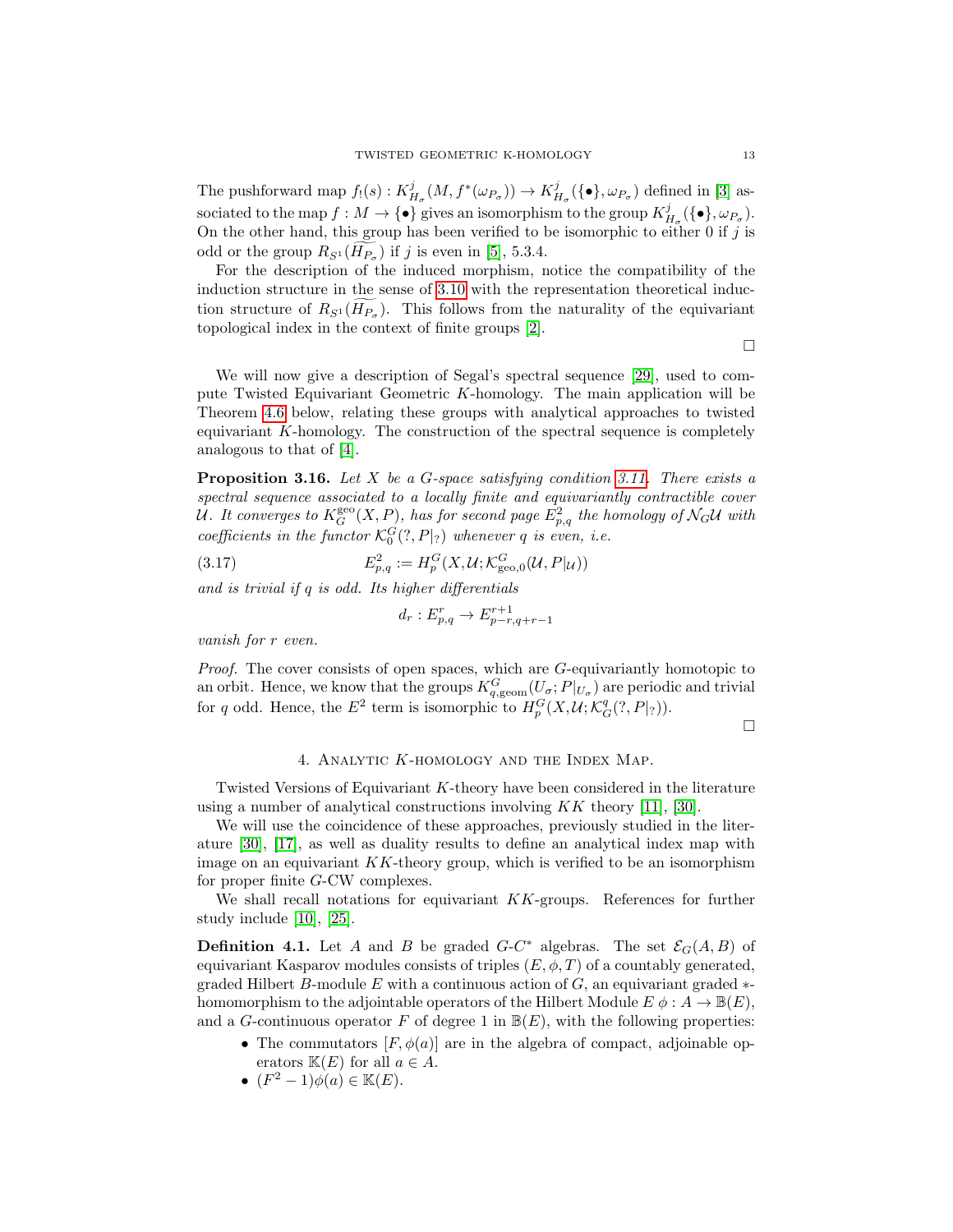The pushforward map  $f_!(s): K^j_{H_\sigma}(M, f^*(\omega_{P_\sigma})) \to K^j_{H_\sigma}(\{\bullet\}, \omega_{P_\sigma})$  defined in [\[3\]](#page-16-0) associated to the map  $f: M \to \{\bullet\}$  gives an isomorphism to the group  $K^j_{H_\sigma}(\{\bullet\}, \omega_{P_\sigma}).$ On the other hand, this group has been verified to be isomorphic to either 0 if  $j$  is odd or the group  $R_{S^1}(H_{P_{\sigma}})$  if j is even in [\[5\]](#page-17-8), 5.3.4.

For the description of the induced morphism, notice the compatibility of the induction structure in the sense of [3.10](#page-9-0) with the representation theoretical induction structure of  $R_{S^1}(H_{P_{\sigma}})$ . This follows from the naturality of the equivariant topological index in the context of finite groups [\[2\]](#page-16-3).

 $\Box$ 

We will now give a description of Segal's spectral sequence [\[29\]](#page-17-18), used to compute Twisted Equivariant Geometric K-homology. The main application will be Theorem [4.6](#page-14-0) below, relating these groups with analytical approaches to twisted equivariant K-homology. The construction of the spectral sequence is completely analogous to that of [\[4\]](#page-17-9).

<span id="page-12-1"></span>**Proposition 3.16.** Let X be a G-space satisfying condition [3.11.](#page-10-1) There exists a spectral sequence associated to a locally finite and equivariantly contractible cover U. It converges to  $K^{\rm geo}_G(X,P),$  has for second page  $E^2_{p,q}$  the homology of  $\mathcal{N}_G$ U with coefficients in the functor  $\mathcal{K}_0^G(?, P|_?)$  whenever q is even, i.e.

 $(3.17)$  $P_{p,q}^2 := H_p^G(X, \mathcal{U}; \mathcal{K}_{\mathrm{geo},0}^G(\mathcal{U}, P|_{\mathcal{U}}))$ 

and is trivial if q is odd. Its higher differentials

$$
d_r: E_{p,q}^r \to E_{p-r,q+r-1}^{r+1}
$$

vanish for r even.

Proof. The cover consists of open spaces, which are G-equivariantly homotopic to an orbit. Hence, we know that the groups  $K_{q, \text{geom}}^G(U_\sigma; P|_{U_\sigma})$  are periodic and trivial for q odd. Hence, the  $E^2$  term is isomorphic to  $H_p^G(X, \mathcal{U}; \mathcal{K}_G^q(?, P|_?)).$ 

 $\Box$ 

# 4. Analytic K-homology and the Index Map.

<span id="page-12-0"></span>Twisted Versions of Equivariant K-theory have been considered in the literature using a number of analytical constructions involving  $KK$  theory [\[11\]](#page-17-2), [\[30\]](#page-17-19).

We will use the coincidence of these approaches, previously studied in the literature [\[30\]](#page-17-19), [\[17\]](#page-17-20), as well as duality results to define an analytical index map with image on an equivariant  $KK$ -theory group, which is verified to be an isomorphism for proper finite G-CW complexes.

We shall recall notations for equivariant  $KK$ -groups. References for further study include [\[10\]](#page-17-21), [\[25\]](#page-17-22).

**Definition 4.1.** Let A and B be graded  $G-C^*$  algebras. The set  $\mathcal{E}_G(A, B)$  of equivariant Kasparov modules consists of triples  $(E, \phi, T)$  of a countably generated, graded Hilbert B-module E with a continuous action of  $G$ , an equivariant graded  $*$ homomorphism to the adjointable operators of the Hilbert Module  $E \phi : A \to \mathbb{B}(E)$ , and a G-continuous operator F of degree 1 in  $\mathbb{B}(E)$ , with the following properties:

- The commutators  $[F, \phi(a)]$  are in the algebra of compact, adjoinable operators  $\mathbb{K}(E)$  for all  $a \in A$ .
- $(F^2-1)\phi(a) \in \mathbb{K}(E)$ .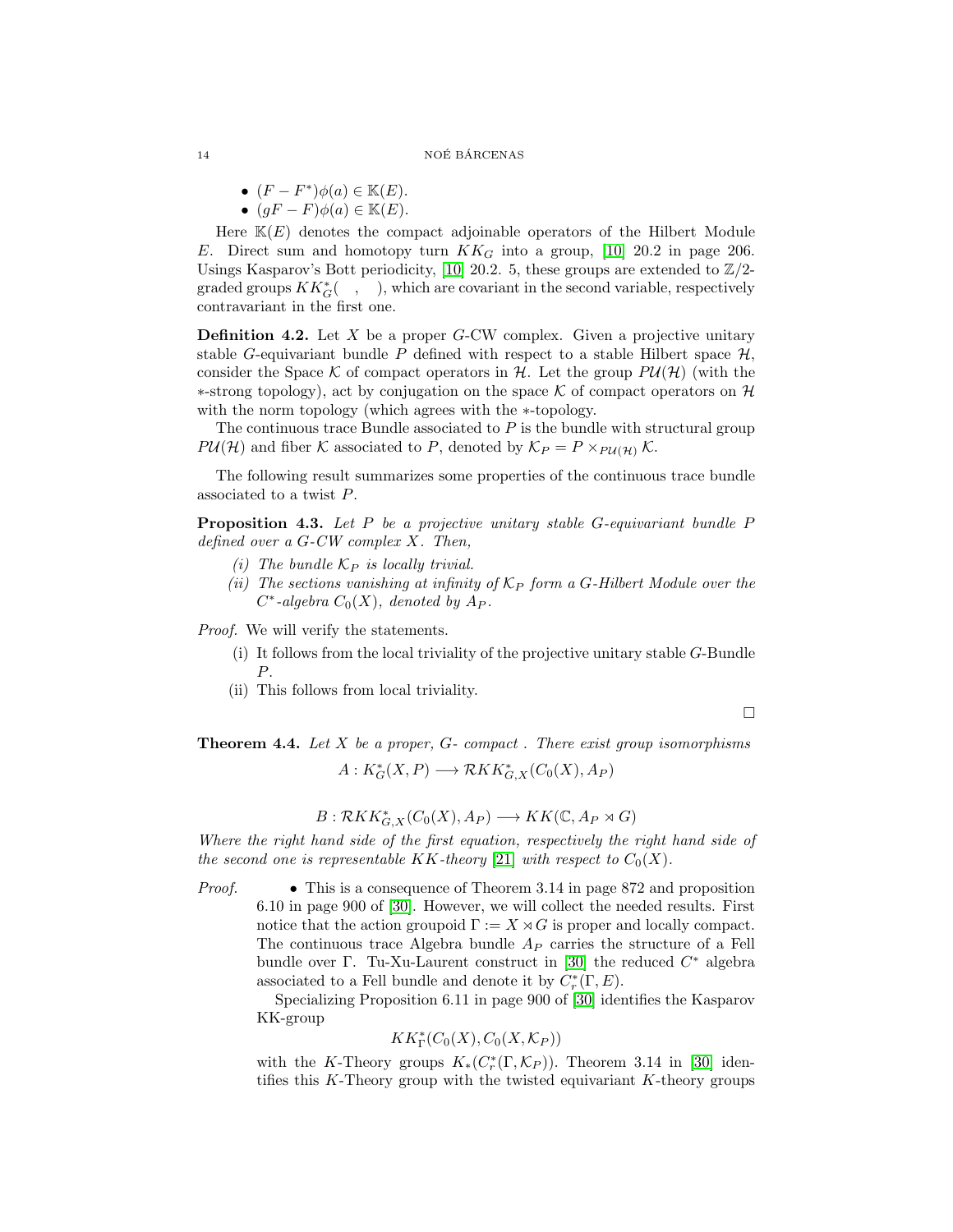- $(F F^*)\phi(a) \in \mathbb{K}(E)$ .
- $(gF F)\phi(a) \in \mathbb{K}(E)$ .

Here  $K(E)$  denotes the compact adjoinable operators of the Hilbert Module E. Direct sum and homotopy turn  $KK_G$  into a group, [\[10\]](#page-17-21) 20.2 in page 206. Usings Kasparov's Bott periodicity, [\[10\]](#page-17-21) 20.2. 5, these groups are extended to  $\mathbb{Z}/2$ graded groups  $KK_G^*$  ( $\quad$ ,  $\quad$ ), which are covariant in the second variable, respectively contravariant in the first one.

**Definition 4.2.** Let X be a proper G-CW complex. Given a projective unitary stable G-equivariant bundle P defined with respect to a stable Hilbert space  $\mathcal{H}$ , consider the Space K of compact operators in H. Let the group  $P\mathcal{U}(\mathcal{H})$  (with the  $∗-strong topology)$ , act by conjugation on the space K of compact operators on H with the norm topology (which agrees with the ∗-topology.

The continuous trace Bundle associated to  $P$  is the bundle with structural group  $P\mathcal{U}(\mathcal{H})$  and fiber K associated to P, denoted by  $\mathcal{K}_P = P \times_{P\mathcal{U}(\mathcal{H})} \mathcal{K}$ .

The following result summarizes some properties of the continuous trace bundle associated to a twist P.

**Proposition 4.3.** Let P be a projective unitary stable  $G$ -equivariant bundle P defined over a G-CW complex X. Then,

- (i) The bundle  $\mathcal{K}_P$  is locally trivial.
- (ii) The sections vanishing at infinity of  $K_P$  form a G-Hilbert Module over the  $C^*$ -algebra  $C_0(X)$ , denoted by  $A_P$ .

Proof. We will verify the statements.

- (i) It follows from the local triviality of the projective unitary stable G-Bundle P.
- (ii) This follows from local triviality.

$$
\Box
$$

<span id="page-13-0"></span>**Theorem 4.4.** Let  $X$  be a proper,  $G$ - compact . There exist group isomorphisms  $A: K_G^*(X, P) \longrightarrow \mathcal{R}KK_{G,X}^*(C_0(X), A_P)$ 

$$
B: \mathcal{R}KK^*_{G,X}(C_0(X), A_P) \longrightarrow KK(\mathbb{C}, A_P \rtimes G)
$$

Where the right hand side of the first equation, respectively the right hand side of the second one is representable KK-theory [\[21\]](#page-17-23) with respect to  $C_0(X)$ .

Proof. • This is a consequence of Theorem 3.14 in page 872 and proposition 6.10 in page 900 of [\[30\]](#page-17-19). However, we will collect the needed results. First notice that the action groupoid  $\Gamma := X \rtimes G$  is proper and locally compact. The continuous trace Algebra bundle  $A_P$  carries the structure of a Fell bundle over  $\Gamma$ . Tu-Xu-Laurent construct in [\[30\]](#page-17-19) the reduced  $C^*$  algebra associated to a Fell bundle and denote it by  $C_r^*(\Gamma, E)$ .

Specializing Proposition 6.11 in page 900 of [\[30\]](#page-17-19) identifies the Kasparov KK-group

$$
KK^*_\Gamma(C_0(X), C_0(X, \mathcal{K}_P))
$$

with the K-Theory groups  $K_*(C_r^*(\Gamma,\mathcal{K}_P))$ . Theorem 3.14 in [\[30\]](#page-17-19) identifies this K-Theory group with the twisted equivariant K-theory groups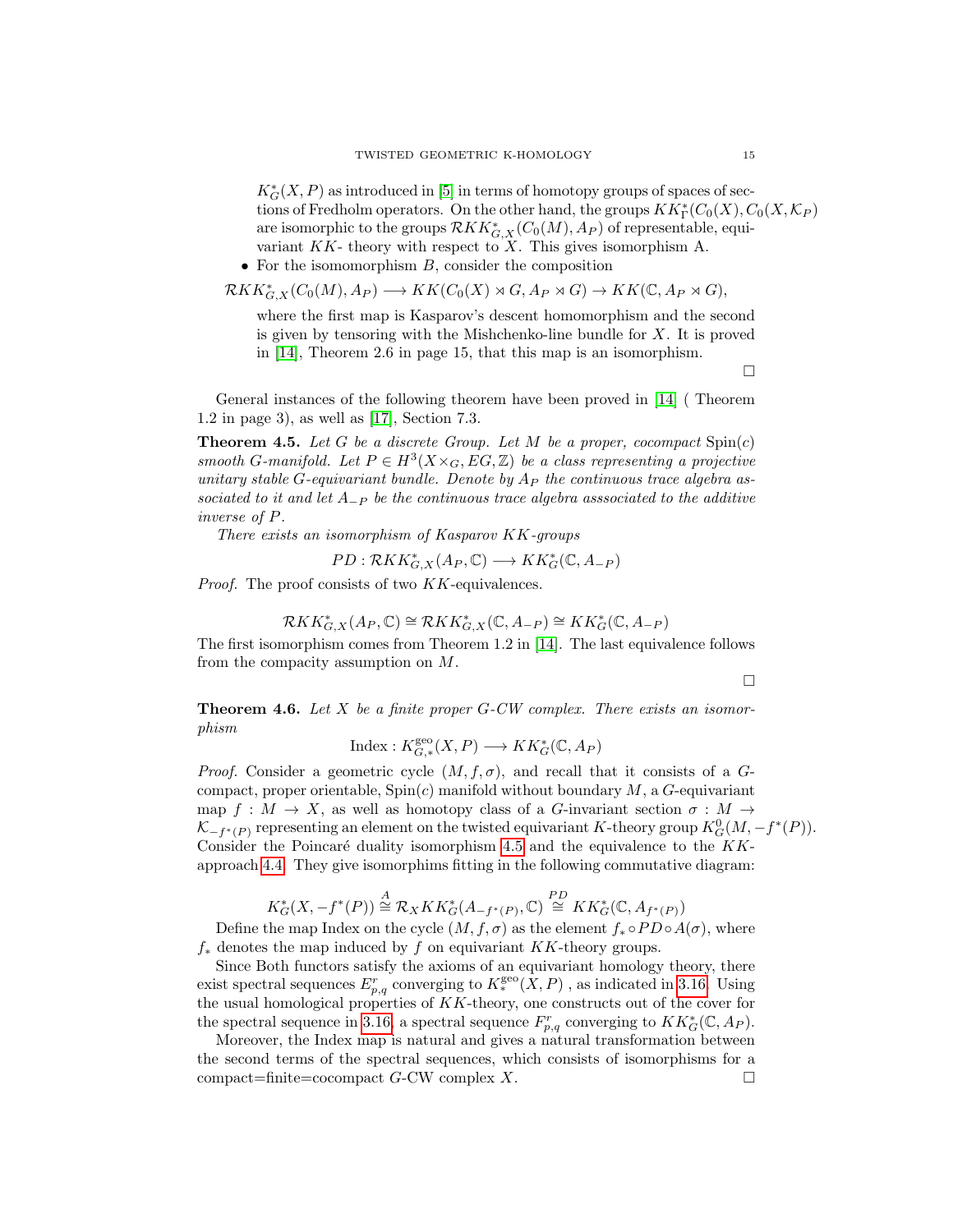$K^*_G(X, P)$  as introduced in [\[5\]](#page-17-8) in terms of homotopy groups of spaces of sections of Fredholm operators. On the other hand, the groups  $KK^*_\Gamma(C_0(X), C_0(X, \mathcal{K}_P))$ are isomorphic to the groups  $\mathcal{R}KK_{G,X}^*(C_0(M),A_P)$  of representable, equivariant  $KK$ - theory with respect to X. This gives isomorphism A.

• For the isomomorphism  $B$ , consider the composition

$$
\mathcal{R}KK_{G,X}^*(C_0(M),A_P) \longrightarrow KK(C_0(X) \rtimes G, A_P \rtimes G) \to KK(\mathbb{C}, A_P \rtimes G),
$$

where the first map is Kasparov's descent homomorphism and the second is given by tensoring with the Mishchenko-line bundle for  $X$ . It is proved in [\[14\]](#page-17-3), Theorem 2.6 in page 15, that this map is an isomorphism.

 $\Box$ 

General instances of the following theorem have been proved in [\[14\]](#page-17-3) ( Theorem 1.2 in page 3), as well as [\[17\]](#page-17-20), Section 7.3.

<span id="page-14-1"></span>**Theorem 4.5.** Let G be a discrete Group. Let M be a proper, cocompact  $Spin(c)$ smooth G-manifold. Let  $P \in H^3(X \times_G, EG, \mathbb{Z})$  be a class representing a projective unitary stable G-equivariant bundle. Denote by  $A_P$  the continuous trace algebra associated to it and let  $A_{-P}$  be the continuous trace algebra associated to the additive inverse of P.

There exists an isomorphism of Kasparov KK-groups

$$
PD: \mathcal{R}KK_{G,X}^*(A_P, \mathbb{C}) \longrightarrow KK_G^*(\mathbb{C}, A_{-P})
$$

Proof. The proof consists of two KK-equivalences.

$$
\mathcal{R}KK_{G,X}^*(A_P,\mathbb{C})\cong \mathcal{R}KK_{G,X}^*(\mathbb{C},A_{-P})\cong KK_G^*(\mathbb{C},A_{-P})
$$

The first isomorphism comes from Theorem 1.2 in [\[14\]](#page-17-3). The last equivalence follows from the compacity assumption on M.

 $\Box$ 

<span id="page-14-0"></span>**Theorem 4.6.** Let  $X$  be a finite proper  $G$ -CW complex. There exists an isomorphism

$$
Index: K_{G,*}^{\text{geo}}(X, P) \longrightarrow KK_G^*(\mathbb{C}, A_P)
$$

*Proof.* Consider a geometric cycle  $(M, f, \sigma)$ , and recall that it consists of a Gcompact, proper orientable,  $Spin(c)$  manifold without boundary M, a G-equivariant map  $f: M \to X$ , as well as homotopy class of a G-invariant section  $\sigma: M \to Y$  $\mathcal{K}_{-f^*(P)}$  representing an element on the twisted equivariant K-theory group  $K_G^0(M, -f^*(P)).$ Consider the Poincaré duality isomorphism [4.5](#page-14-1) and the equivalence to the  $KK$ approach [4.4.](#page-13-0) They give isomorphims fitting in the following commutative diagram:

$$
K_G^*(X, -f^*(P)) \stackrel{A}{\cong} \mathcal{R}_X KK_G^*(A_{-f^*(P)}, \mathbb{C}) \stackrel{PD}{\cong} KK_G^*(\mathbb{C}, A_{f^*(P)})
$$

Define the map Index on the cycle  $(M, f, \sigma)$  as the element  $f_* \circ PD \circ A(\sigma)$ , where  $f_*$  denotes the map induced by f on equivariant KK-theory groups.

Since Both functors satisfy the axioms of an equivariant homology theory, there exist spectral sequences  $E_{p,q}^r$  converging to  $K_*^{\text{geo}}(X,P)$ , as indicated in [3.16.](#page-12-1) Using the usual homological properties of KK-theory, one constructs out of the cover for the spectral sequence in [3.16,](#page-12-1) a spectral sequence  $F_{p,q}^r$  converging to  $KK_G^*(\mathbb{C}, A_P)$ .

Moreover, the Index map is natural and gives a natural transformation between the second terms of the spectral sequences, which consists of isomorphisms for a compact=finite=cocompact  $G$ -CW complex X.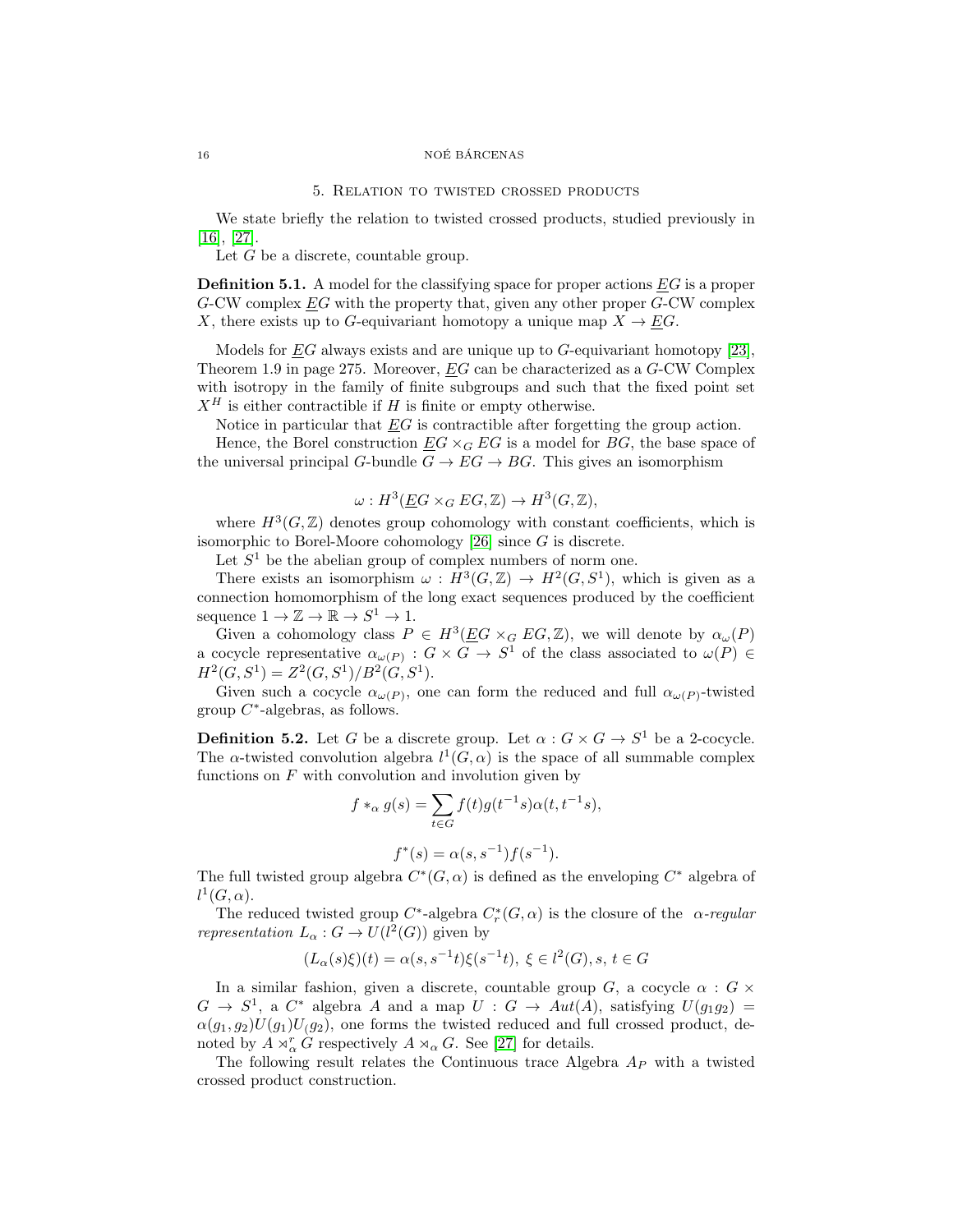#### <span id="page-15-0"></span>16 NOÉ BÁRCENAS

#### 5. Relation to twisted crossed products

We state briefly the relation to twisted crossed products, studied previously in [\[16\]](#page-17-10), [\[27\]](#page-17-11).

Let  $G$  be a discrete, countable group.

**Definition 5.1.** A model for the classifying space for proper actions  $EG$  is a proper  $G$ -CW complex  $EG$  with the property that, given any other proper  $G$ -CW complex X, there exists up to G-equivariant homotopy a unique map  $X \to EG$ .

Models for  $\underline{E}G$  always exists and are unique up to G-equivariant homotopy [\[23\]](#page-17-24), Theorem 1.9 in page 275. Moreover, EG can be characterized as a G-CW Complex with isotropy in the family of finite subgroups and such that the fixed point set  $X^H$  is either contractible if H is finite or empty otherwise.

Notice in particular that  $EG$  is contractible after forgetting the group action.

Hence, the Borel construction  $EG \times_G EG$  is a model for BG, the base space of the universal principal G-bundle  $G \to EG \to BG$ . This gives an isomorphism

$$
\omega: H^3(\underline{E}G \times_G EG, \mathbb{Z}) \to H^3(G, \mathbb{Z}),
$$

where  $H^3(G,\mathbb{Z})$  denotes group cohomology with constant coefficients, which is isomorphic to Borel-Moore cohomology [\[26\]](#page-17-25) since G is discrete.

Let  $S<sup>1</sup>$  be the abelian group of complex numbers of norm one.

There exists an isomorphism  $\omega : H^3(G, \mathbb{Z}) \to H^2(G, S^1)$ , which is given as a connection homomorphism of the long exact sequences produced by the coefficient sequence  $1 \to \mathbb{Z} \to \mathbb{R} \to S^1 \to 1$ .

Given a cohomology class  $P \in H^3(\underline{E}G \times_G EG, \mathbb{Z})$ , we will denote by  $\alpha_\omega(P)$ a cocycle representative  $\alpha_{\omega(P)}$ :  $G \times G \to S^1$  of the class associated to  $\omega(P) \in$  $H^2(G, S^1) = Z^2(G, S^1)/B^2(G, S^1).$ 

Given such a cocycle  $\alpha_{\omega(P)}$ , one can form the reduced and full  $\alpha_{\omega(P)}$ -twisted group  $C^*$ -algebras, as follows.

**Definition 5.2.** Let G be a discrete group. Let  $\alpha$  :  $G \times G \to S^1$  be a 2-cocycle. The  $\alpha$ -twisted convolution algebra  $l^1(G, \alpha)$  is the space of all summable complex functions on  $F$  with convolution and involution given by

$$
f *_{\alpha} g(s) = \sum_{t \in G} f(t)g(t^{-1}s)\alpha(t,t^{-1}s),
$$

$$
f^*(s) = \alpha(s, s^{-1}) f(s^{-1}).
$$

The full twisted group algebra  $C^*(G, \alpha)$  is defined as the enveloping  $C^*$  algebra of  $l^1(G,\alpha)$ .

The reduced twisted group  $C^*$ -algebra  $C^*_r(G, \alpha)$  is the closure of the  $\alpha$ -regular *representation*  $L_{\alpha}: G \to U(l^2(G))$  given by

$$
(L_{\alpha}(s)\xi)(t) = \alpha(s, s^{-1}t)\xi(s^{-1}t), \ \xi \in l^2(G), s, \ t \in G
$$

In a similar fashion, given a discrete, countable group G, a cocycle  $\alpha$  :  $G \times$  $G \rightarrow S^1$ , a  $C^*$  algebra A and a map  $U : G \rightarrow Aut(A)$ , satisfying  $U(g_1g_2) =$  $\alpha(g_1, g_2)U(g_1)U(g_2)$ , one forms the twisted reduced and full crossed product, denoted by  $A \rtimes_{\alpha}^r G$  respectively  $A \rtimes_{\alpha} G$ . See [\[27\]](#page-17-11) for details.

The following result relates the Continuous trace Algebra  $A_P$  with a twisted crossed product construction.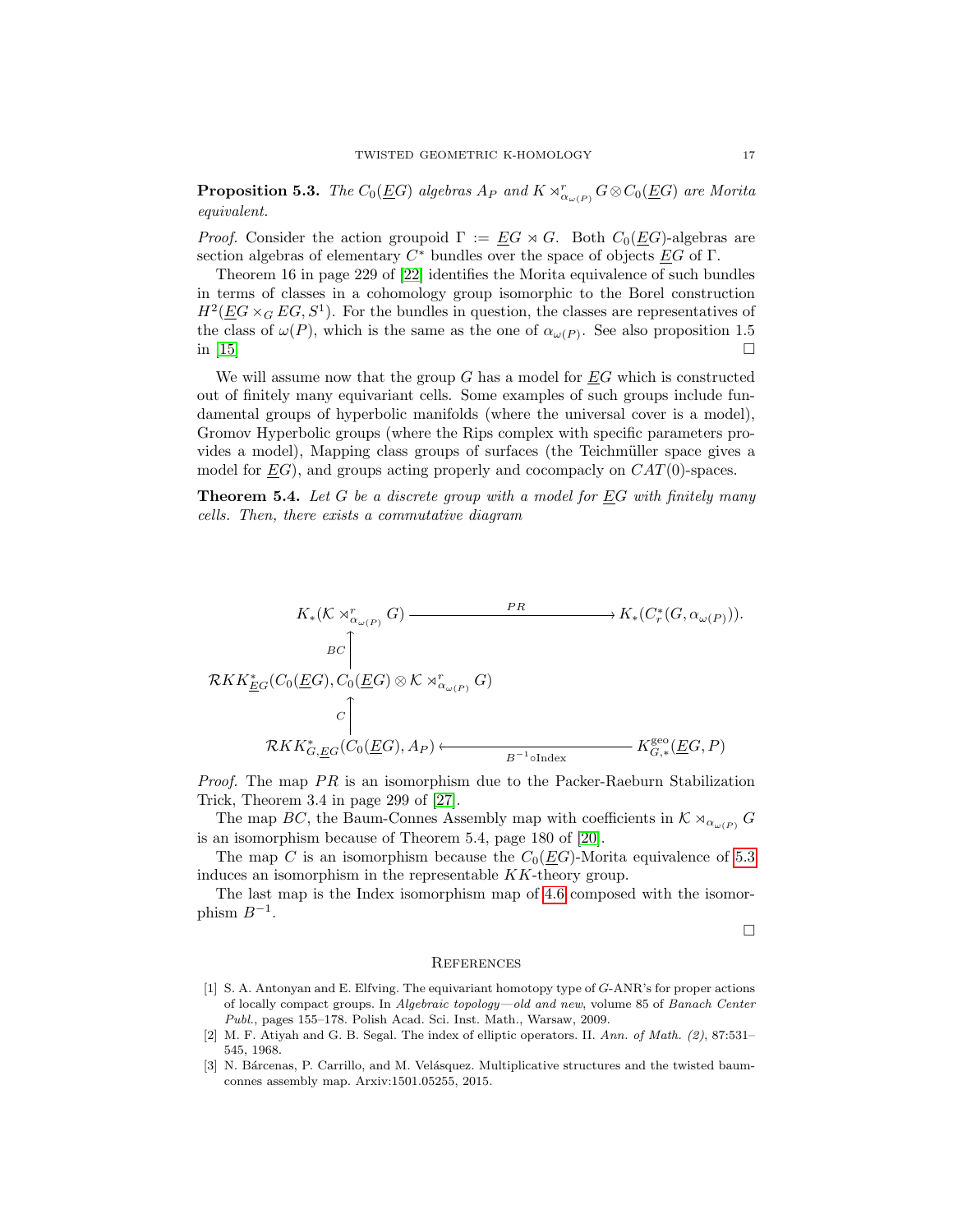<span id="page-16-4"></span>**Proposition 5.3.** The  $C_0(\underline{E}G)$  algebras  $A_P$  and  $K \rtimes_{\alpha_{\omega(P)}}^r G \otimes C_0(\underline{E}G)$  are Morita equivalent.

*Proof.* Consider the action groupoid  $\Gamma := \underline{E}G \rtimes G$ . Both  $C_0(\underline{E}G)$ -algebras are section algebras of elementary  $C^*$  bundles over the space of objects  $\underline{E}G$  of  $\Gamma$ .

Theorem 16 in page 229 of [\[22\]](#page-17-26) identifies the Morita equivalence of such bundles in terms of classes in a cohomology group isomorphic to the Borel construction  $H^2(\underline{E}G \times_G EG, S^1)$ . For the bundles in question, the classes are representatives of the class of  $\omega(P)$ , which is the same as the one of  $\alpha_{\omega(P)}$ . See also proposition 1.5 in [\[15\]](#page-17-1)  $\Box$ 

We will assume now that the group  $G$  has a model for  $EG$  which is constructed out of finitely many equivariant cells. Some examples of such groups include fundamental groups of hyperbolic manifolds (where the universal cover is a model), Gromov Hyperbolic groups (where the Rips complex with specific parameters provides a model), Mapping class groups of surfaces (the Teichmüller space gives a model for  $EG$ ), and groups acting properly and cocompacly on  $CAT(0)$ -spaces.

**Theorem 5.4.** Let G be a discrete group with a model for  $\underline{E}G$  with finitely many cells. Then, there exists a commutative diagram

$$
K_*(K \rtimes_{\alpha_{\omega(P)}}^r G) \xrightarrow{PR} K_*(C_r^*(G, \alpha_{\omega(P)})).
$$
  
\n
$$
B\subset \uparrow
$$
  
\n
$$
RKK_{\underline{E}G}^*(C_0(\underline{E}G), C_0(\underline{E}G) \otimes K \rtimes_{\alpha_{\omega(P)}}^r G)
$$
  
\n
$$
\subset \uparrow
$$
  
\n
$$
RKK_{G,\underline{E}G}^*(C_0(\underline{E}G), A_P) \xleftarrow{B^{-1} \text{d}} K_{G,*}^{\text{geo}}(\underline{E}G, P)
$$

*Proof.* The map  $PR$  is an isomorphism due to the Packer-Raeburn Stabilization Trick, Theorem 3.4 in page 299 of [\[27\]](#page-17-11).

The map BC, the Baum-Connes Assembly map with coefficients in  $K \rtimes_{\alpha_{\omega(P)}} G$ is an isomorphism because of Theorem 5.4, page 180 of [\[20\]](#page-17-27).

The map C is an isomorphism because the  $C_0(EG)$ -Morita equivalence of [5.3](#page-16-4) induces an isomorphism in the representable KK-theory group.

The last map is the Index isomorphism map of [4.6](#page-14-0) composed with the isomorphism  $B^{-1}$ .

 $\Box$ 

#### <span id="page-16-1"></span>**REFERENCES**

- <span id="page-16-2"></span>[1] S. A. Antonyan and E. Elfving. The equivariant homotopy type of G-ANR's for proper actions of locally compact groups. In Algebraic topology—old and new, volume 85 of Banach Center Publ., pages 155–178. Polish Acad. Sci. Inst. Math., Warsaw, 2009.
- <span id="page-16-3"></span>[2] M. F. Atiyah and G. B. Segal. The index of elliptic operators. II. Ann. of Math. (2), 87:531– 545, 1968.
- <span id="page-16-0"></span>[3] N. Bárcenas, P. Carrillo, and M. Velásquez. Multiplicative structures and the twisted baumconnes assembly map. Arxiv:1501.05255, 2015.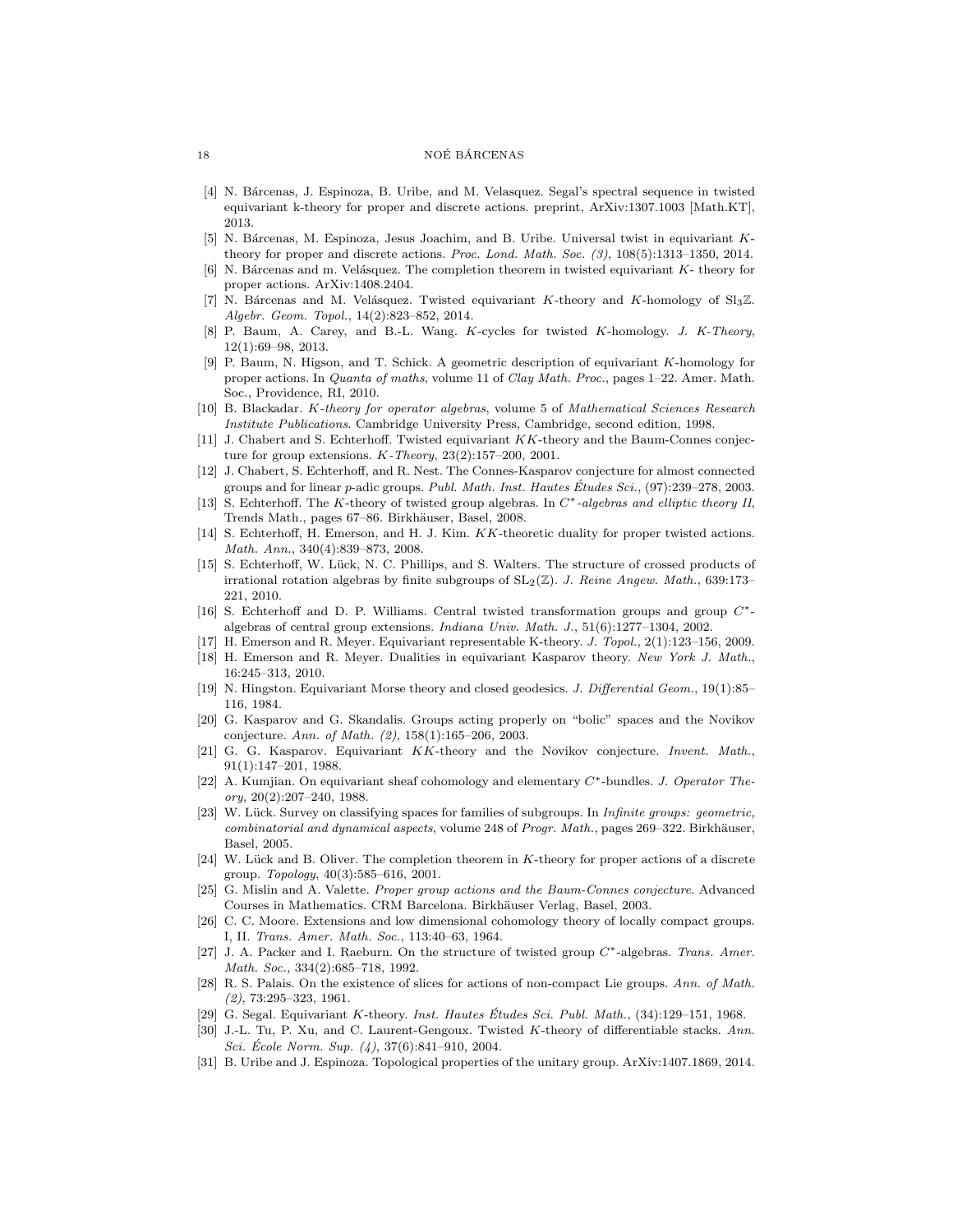#### 18 NOÉ BÁRCENAS

- <span id="page-17-9"></span>[4] N. Bárcenas, J. Espinoza, B. Uribe, and M. Velasquez. Segal's spectral sequence in twisted equivariant k-theory for proper and discrete actions. preprint, ArXiv:1307.1003 [Math.KT], 2013.
- <span id="page-17-8"></span>[5] N. Bárcenas, M. Espinoza, Jesus Joachim, and B. Uribe. Universal twist in equivariant Ktheory for proper and discrete actions. Proc. Lond. Math. Soc.  $(3)$ ,  $108(5):1313-1350$ ,  $2014$ .
- <span id="page-17-12"></span>[6] N. Bárcenas and m. Velásquez. The completion theorem in twisted equivariant  $K$ - theory for proper actions. ArXiv:1408.2404.
- <span id="page-17-0"></span>[7] N. Bárcenas and M. Velásquez. Twisted equivariant K-theory and K-homology of  $Sl<sub>3</sub>\mathbb{Z}$ . Algebr. Geom. Topol., 14(2):823–852, 2014.
- <span id="page-17-7"></span>[8] P. Baum, A. Carey, and B.-L. Wang. K-cycles for twisted K-homology. J. K-Theory, 12(1):69–98, 2013.
- <span id="page-17-6"></span>[9] P. Baum, N. Higson, and T. Schick. A geometric description of equivariant K-homology for proper actions. In Quanta of maths, volume 11 of Clay Math. Proc., pages 1–22. Amer. Math. Soc., Providence, RI, 2010.
- <span id="page-17-21"></span>[10] B. Blackadar. K-theory for operator algebras, volume 5 of Mathematical Sciences Research Institute Publications. Cambridge University Press, Cambridge, second edition, 1998.
- <span id="page-17-2"></span>[11] J. Chabert and S. Echterhoff. Twisted equivariant KK-theory and the Baum-Connes conjecture for group extensions. K-Theory, 23(2):157–200, 2001.
- <span id="page-17-5"></span>[12] J. Chabert, S. Echterhoff, and R. Nest. The Connes-Kasparov conjecture for almost connected groups and for linear  $p$ -adic groups. Publ. Math. Inst. Hautes Études Sci.,  $(97):239-278$ , 2003.
- <span id="page-17-4"></span>[13] S. Echterhoff. The K-theory of twisted group algebras. In C∗-algebras and elliptic theory II, Trends Math., pages 67–86. Birkhäuser, Basel, 2008.
- <span id="page-17-3"></span>[14] S. Echterhoff, H. Emerson, and H. J. Kim. KK-theoretic duality for proper twisted actions. Math. Ann., 340(4):839–873, 2008.
- <span id="page-17-1"></span>[15] S. Echterhoff, W. Lück, N. C. Phillips, and S. Walters. The structure of crossed products of irrational rotation algebras by finite subgroups of  $SL_2(\mathbb{Z})$ . J. Reine Angew. Math., 639:173– 221, 2010.
- <span id="page-17-10"></span>[16] S. Echterhoff and D. P. Williams. Central twisted transformation groups and group C∗ algebras of central group extensions. Indiana Univ. Math. J., 51(6):1277–1304, 2002.
- <span id="page-17-20"></span>[17] H. Emerson and R. Meyer. Equivariant representable K-theory. J. Topol., 2(1):123–156, 2009.
- <span id="page-17-15"></span>[18] H. Emerson and R. Meyer. Dualities in equivariant Kasparov theory. New York J. Math., 16:245–313, 2010.
- <span id="page-17-17"></span>[19] N. Hingston. Equivariant Morse theory and closed geodesics. J. Differential Geom., 19(1):85– 116, 1984.
- <span id="page-17-27"></span>[20] G. Kasparov and G. Skandalis. Groups acting properly on "bolic" spaces and the Novikov conjecture. Ann. of Math. (2), 158(1):165–206, 2003.
- <span id="page-17-23"></span>[21] G. G. Kasparov. Equivariant KK-theory and the Novikov conjecture. Invent. Math., 91(1):147–201, 1988.
- <span id="page-17-26"></span>[22] A. Kumjian. On equivariant sheaf cohomology and elementary C∗-bundles. J. Operator The $ory, 20(2):207-240, 1988.$
- <span id="page-17-24"></span>[23] W. Lück. Survey on classifying spaces for families of subgroups. In *Infinite groups: geometric*, combinatorial and dynamical aspects, volume 248 of Progr. Math., pages 269–322. Birkhäuser, Basel, 2005.
- <span id="page-17-16"></span>[24] W. Lück and B. Oliver. The completion theorem in K-theory for proper actions of a discrete group. Topology, 40(3):585–616, 2001.
- <span id="page-17-22"></span>[25] G. Mislin and A. Valette. Proper group actions and the Baum-Connes conjecture. Advanced Courses in Mathematics. CRM Barcelona. Birkhäuser Verlag, Basel, 2003.
- <span id="page-17-25"></span>[26] C. C. Moore. Extensions and low dimensional cohomology theory of locally compact groups. I, II. Trans. Amer. Math. Soc., 113:40–63, 1964.
- <span id="page-17-11"></span>[27] J. A. Packer and I. Raeburn. On the structure of twisted group C∗-algebras. Trans. Amer. Math. Soc., 334(2):685–718, 1992.
- <span id="page-17-14"></span>[28] R. S. Palais. On the existence of slices for actions of non-compact Lie groups. Ann. of Math. (2), 73:295–323, 1961.
- <span id="page-17-18"></span>[29] G. Segal. Equivariant K-theory. Inst. Hautes Études Sci. Publ. Math.,  $(34):129-151$ , 1968.
- <span id="page-17-19"></span>[30] J.-L. Tu, P. Xu, and C. Laurent-Gengoux. Twisted K-theory of differentiable stacks. Ann. Sci. Ecole Norm. Sup.  $(4)$ , 37 $(6)$ :841–910, 2004.
- <span id="page-17-13"></span>[31] B. Uribe and J. Espinoza. Topological properties of the unitary group. ArXiv:1407.1869, 2014.